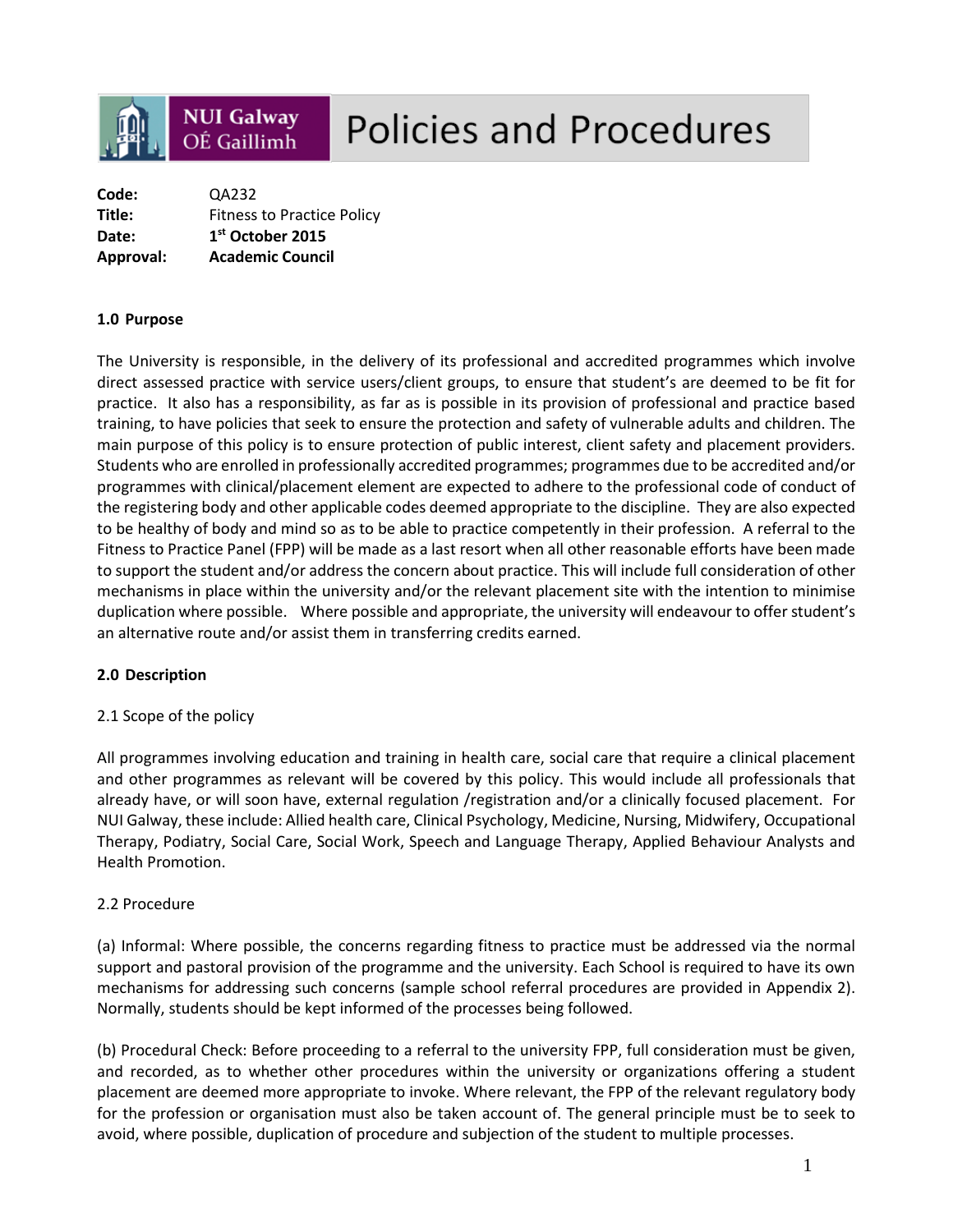

# **Policies and Procedures**

| Code:     | QA232                             |  |
|-----------|-----------------------------------|--|
| Title:    | <b>Fitness to Practice Policy</b> |  |
| Date:     | 1 <sup>st</sup> October 2015      |  |
| Approval: | <b>Academic Council</b>           |  |

#### **1.0 Purpose**

The University is responsible, in the delivery of its professional and accredited programmes which involve direct assessed practice with service users/client groups, to ensure that student's are deemed to be fit for practice. It also has a responsibility, as far as is possible in its provision of professional and practice based training, to have policies that seek to ensure the protection and safety of vulnerable adults and children. The main purpose of this policy is to ensure protection of public interest, client safety and placement providers. Students who are enrolled in professionally accredited programmes; programmes due to be accredited and/or programmes with clinical/placement element are expected to adhere to the professional code of conduct of the registering body and other applicable codes deemed appropriate to the discipline. They are also expected to be healthy of body and mind so as to be able to practice competently in their profession. A referral to the Fitness to Practice Panel (FPP) will be made as a last resort when all other reasonable efforts have been made to support the student and/or address the concern about practice. This will include full consideration of other mechanisms in place within the university and/or the relevant placement site with the intention to minimise duplication where possible. Where possible and appropriate, the university will endeavour to offer student's an alternative route and/or assist them in transferring credits earned.

#### **2.0 Description**

#### 2.1 Scope of the policy

All programmes involving education and training in health care, social care that require a clinical placement and other programmes as relevant will be covered by this policy. This would include all professionals that already have, or will soon have, external regulation /registration and/or a clinically focused placement. For NUI Galway, these include: Allied health care, Clinical Psychology, Medicine, Nursing, Midwifery, Occupational Therapy, Podiatry, Social Care, Social Work, Speech and Language Therapy, Applied Behaviour Analysts and Health Promotion.

#### 2.2 Procedure

(a) Informal: Where possible, the concerns regarding fitness to practice must be addressed via the normal support and pastoral provision of the programme and the university. Each School is required to have its own mechanisms for addressing such concerns (sample school referral procedures are provided in Appendix 2). Normally, students should be kept informed of the processes being followed.

(b) Procedural Check: Before proceeding to a referral to the university FPP, full consideration must be given, and recorded, as to whether other procedures within the university or organizations offering a student placement are deemed more appropriate to invoke. Where relevant, the FPP of the relevant regulatory body for the profession or organisation must also be taken account of. The general principle must be to seek to avoid, where possible, duplication of procedure and subjection of the student to multiple processes.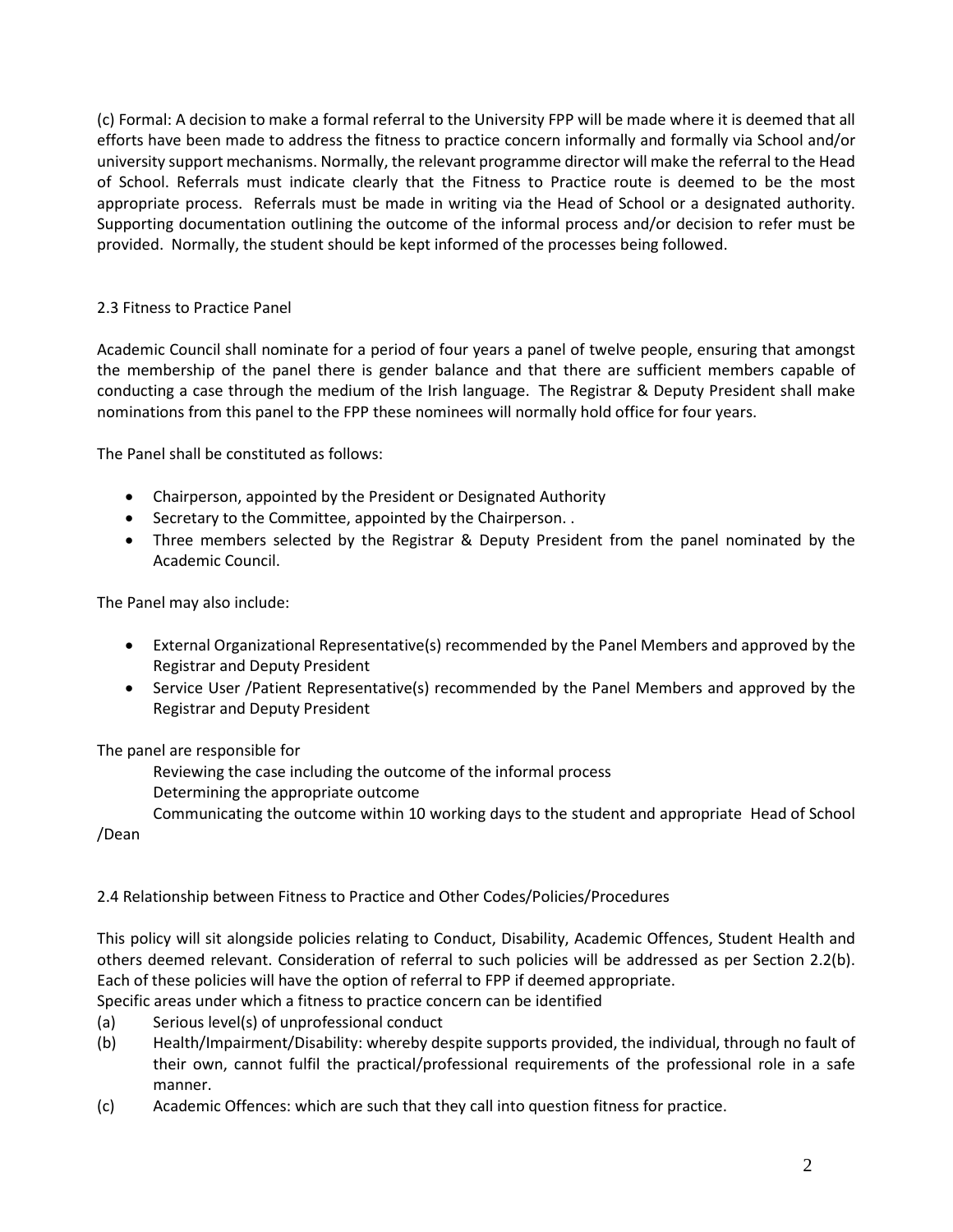(c) Formal: A decision to make a formal referral to the University FPP will be made where it is deemed that all efforts have been made to address the fitness to practice concern informally and formally via School and/or university support mechanisms. Normally, the relevant programme director will make the referral to the Head of School. Referrals must indicate clearly that the Fitness to Practice route is deemed to be the most appropriate process. Referrals must be made in writing via the Head of School or a designated authority. Supporting documentation outlining the outcome of the informal process and/or decision to refer must be provided. Normally, the student should be kept informed of the processes being followed.

## 2.3 Fitness to Practice Panel

Academic Council shall nominate for a period of four years a panel of twelve people, ensuring that amongst the membership of the panel there is gender balance and that there are sufficient members capable of conducting a case through the medium of the Irish language. The Registrar & Deputy President shall make nominations from this panel to the FPP these nominees will normally hold office for four years.

The Panel shall be constituted as follows:

- Chairperson, appointed by the President or Designated Authority
- Secretary to the Committee, appointed by the Chairperson. .
- Three members selected by the Registrar & Deputy President from the panel nominated by the Academic Council.

The Panel may also include:

- External Organizational Representative(s) recommended by the Panel Members and approved by the Registrar and Deputy President
- Service User /Patient Representative(s) recommended by the Panel Members and approved by the Registrar and Deputy President

The panel are responsible for

Reviewing the case including the outcome of the informal process

Determining the appropriate outcome

Communicating the outcome within 10 working days to the student and appropriate Head of School

/Dean

# 2.4 Relationship between Fitness to Practice and Other Codes/Policies/Procedures

This policy will sit alongside policies relating to Conduct, Disability, Academic Offences, Student Health and others deemed relevant. Consideration of referral to such policies will be addressed as per Section 2.2(b). Each of these policies will have the option of referral to FPP if deemed appropriate.

Specific areas under which a fitness to practice concern can be identified

- (a) Serious level(s) of unprofessional conduct
- (b) Health/Impairment/Disability: whereby despite supports provided, the individual, through no fault of their own, cannot fulfil the practical/professional requirements of the professional role in a safe manner.
- (c) Academic Offences: which are such that they call into question fitness for practice.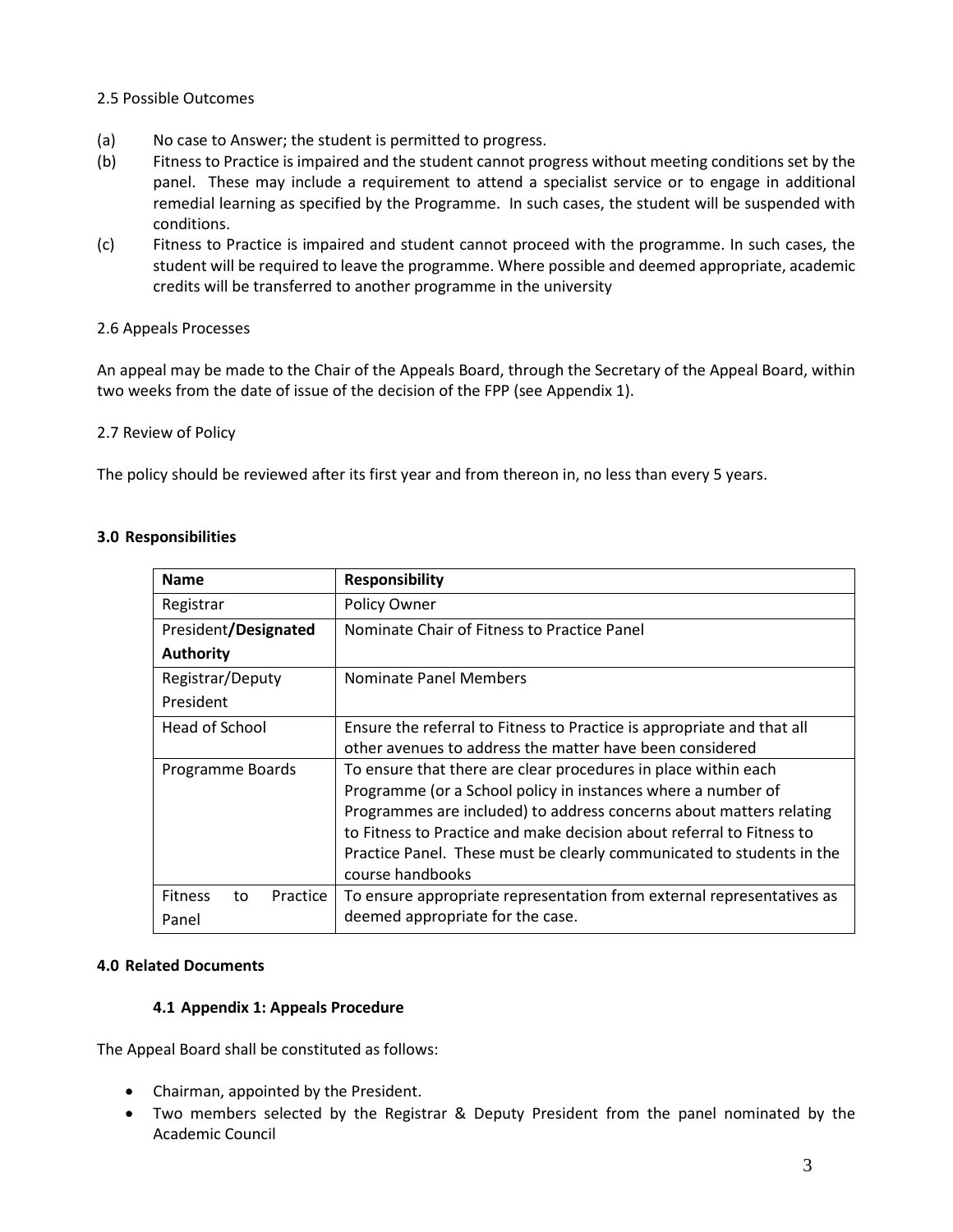## 2.5 Possible Outcomes

- (a) No case to Answer; the student is permitted to progress.
- (b) Fitness to Practice is impaired and the student cannot progress without meeting conditions set by the panel. These may include a requirement to attend a specialist service or to engage in additional remedial learning as specified by the Programme. In such cases, the student will be suspended with conditions.
- (c) Fitness to Practice is impaired and student cannot proceed with the programme. In such cases, the student will be required to leave the programme. Where possible and deemed appropriate, academic credits will be transferred to another programme in the university

## 2.6 Appeals Processes

An appeal may be made to the Chair of the Appeals Board, through the Secretary of the Appeal Board, within two weeks from the date of issue of the decision of the FPP (see Appendix 1).

## 2.7 Review of Policy

The policy should be reviewed after its first year and from thereon in, no less than every 5 years.

| <b>Name</b>                      | <b>Responsibility</b>                                                  |  |
|----------------------------------|------------------------------------------------------------------------|--|
| Registrar                        | Policy Owner                                                           |  |
| President/Designated             | Nominate Chair of Fitness to Practice Panel                            |  |
| <b>Authority</b>                 |                                                                        |  |
| Registrar/Deputy                 | Nominate Panel Members                                                 |  |
| President                        |                                                                        |  |
| Head of School                   | Ensure the referral to Fitness to Practice is appropriate and that all |  |
|                                  | other avenues to address the matter have been considered               |  |
| Programme Boards                 | To ensure that there are clear procedures in place within each         |  |
|                                  | Programme (or a School policy in instances where a number of           |  |
|                                  | Programmes are included) to address concerns about matters relating    |  |
|                                  | to Fitness to Practice and make decision about referral to Fitness to  |  |
|                                  | Practice Panel. These must be clearly communicated to students in the  |  |
|                                  | course handbooks                                                       |  |
| <b>Fitness</b><br>Practice<br>to | To ensure appropriate representation from external representatives as  |  |
| Panel                            | deemed appropriate for the case.                                       |  |

## **3.0 Responsibilities**

#### **4.0 Related Documents**

#### **4.1 Appendix 1: Appeals Procedure**

The Appeal Board shall be constituted as follows:

- Chairman, appointed by the President.
- Two members selected by the Registrar & Deputy President from the panel nominated by the Academic Council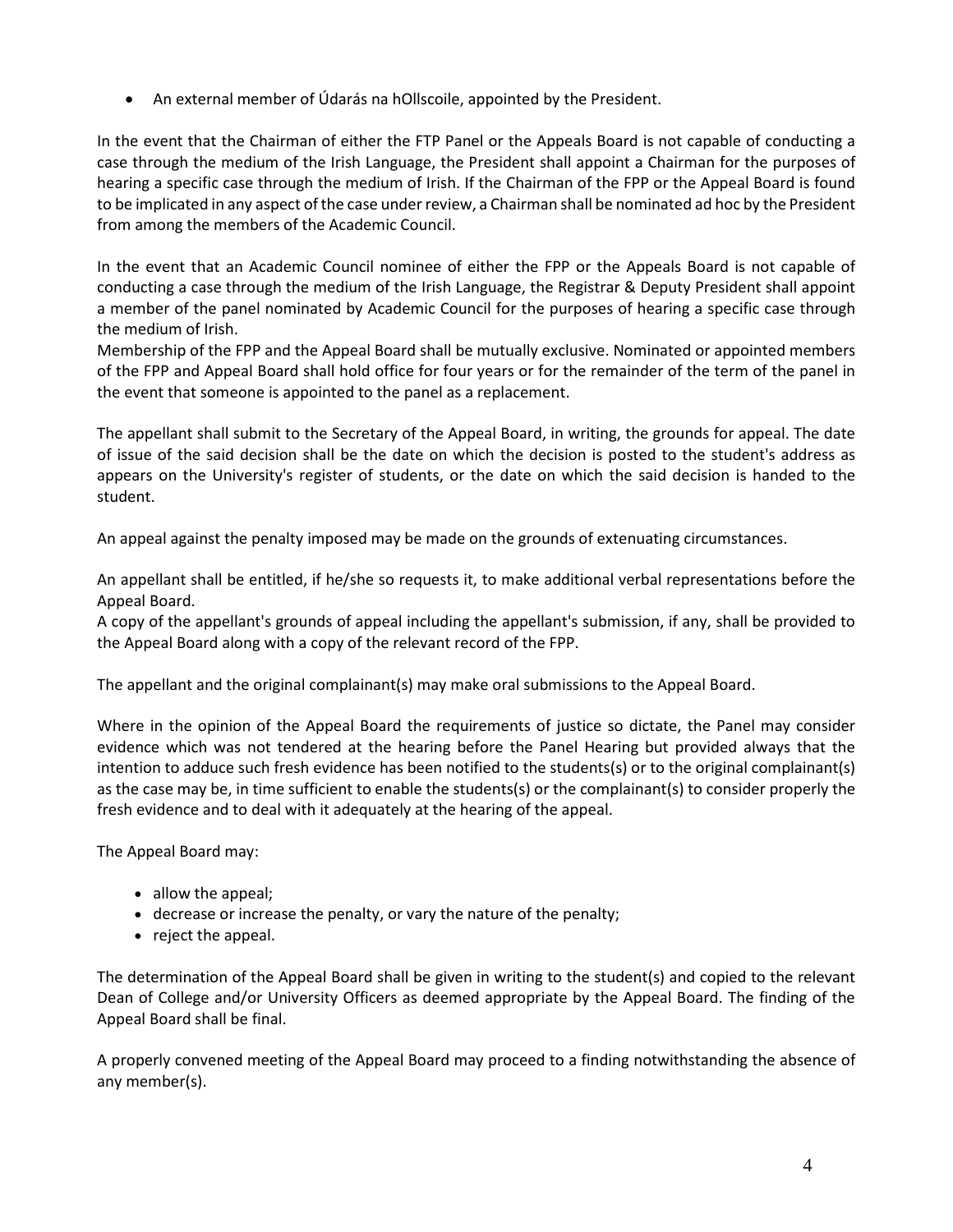• An external member of Údarás na hOllscoile, appointed by the President.

In the event that the Chairman of either the FTP Panel or the Appeals Board is not capable of conducting a case through the medium of the Irish Language, the President shall appoint a Chairman for the purposes of hearing a specific case through the medium of Irish. If the Chairman of the FPP or the Appeal Board is found to be implicated in any aspect of the case under review, a Chairman shall be nominated ad hoc by the President from among the members of the Academic Council.

In the event that an Academic Council nominee of either the FPP or the Appeals Board is not capable of conducting a case through the medium of the Irish Language, the Registrar & Deputy President shall appoint a member of the panel nominated by Academic Council for the purposes of hearing a specific case through the medium of Irish.

Membership of the FPP and the Appeal Board shall be mutually exclusive. Nominated or appointed members of the FPP and Appeal Board shall hold office for four years or for the remainder of the term of the panel in the event that someone is appointed to the panel as a replacement.

The appellant shall submit to the Secretary of the Appeal Board, in writing, the grounds for appeal. The date of issue of the said decision shall be the date on which the decision is posted to the student's address as appears on the University's register of students, or the date on which the said decision is handed to the student.

An appeal against the penalty imposed may be made on the grounds of extenuating circumstances.

An appellant shall be entitled, if he/she so requests it, to make additional verbal representations before the Appeal Board.

A copy of the appellant's grounds of appeal including the appellant's submission, if any, shall be provided to the Appeal Board along with a copy of the relevant record of the FPP.

The appellant and the original complainant(s) may make oral submissions to the Appeal Board.

Where in the opinion of the Appeal Board the requirements of justice so dictate, the Panel may consider evidence which was not tendered at the hearing before the Panel Hearing but provided always that the intention to adduce such fresh evidence has been notified to the students(s) or to the original complainant(s) as the case may be, in time sufficient to enable the students(s) or the complainant(s) to consider properly the fresh evidence and to deal with it adequately at the hearing of the appeal.

The Appeal Board may:

- allow the appeal;
- decrease or increase the penalty, or vary the nature of the penalty;
- reject the appeal.

The determination of the Appeal Board shall be given in writing to the student(s) and copied to the relevant Dean of College and/or University Officers as deemed appropriate by the Appeal Board. The finding of the Appeal Board shall be final.

A properly convened meeting of the Appeal Board may proceed to a finding notwithstanding the absence of any member(s).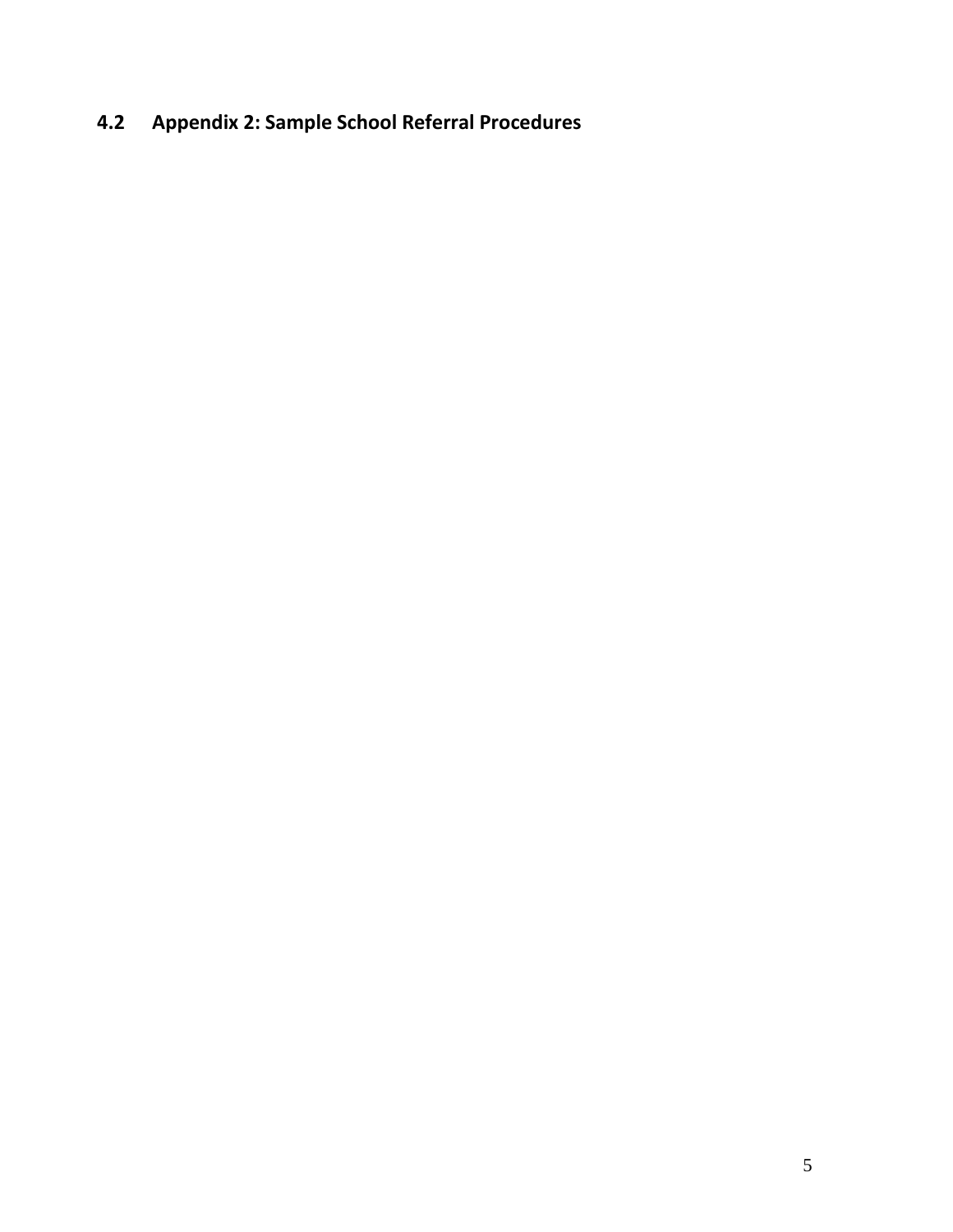# **4.2 Appendix 2: Sample School Referral Procedures**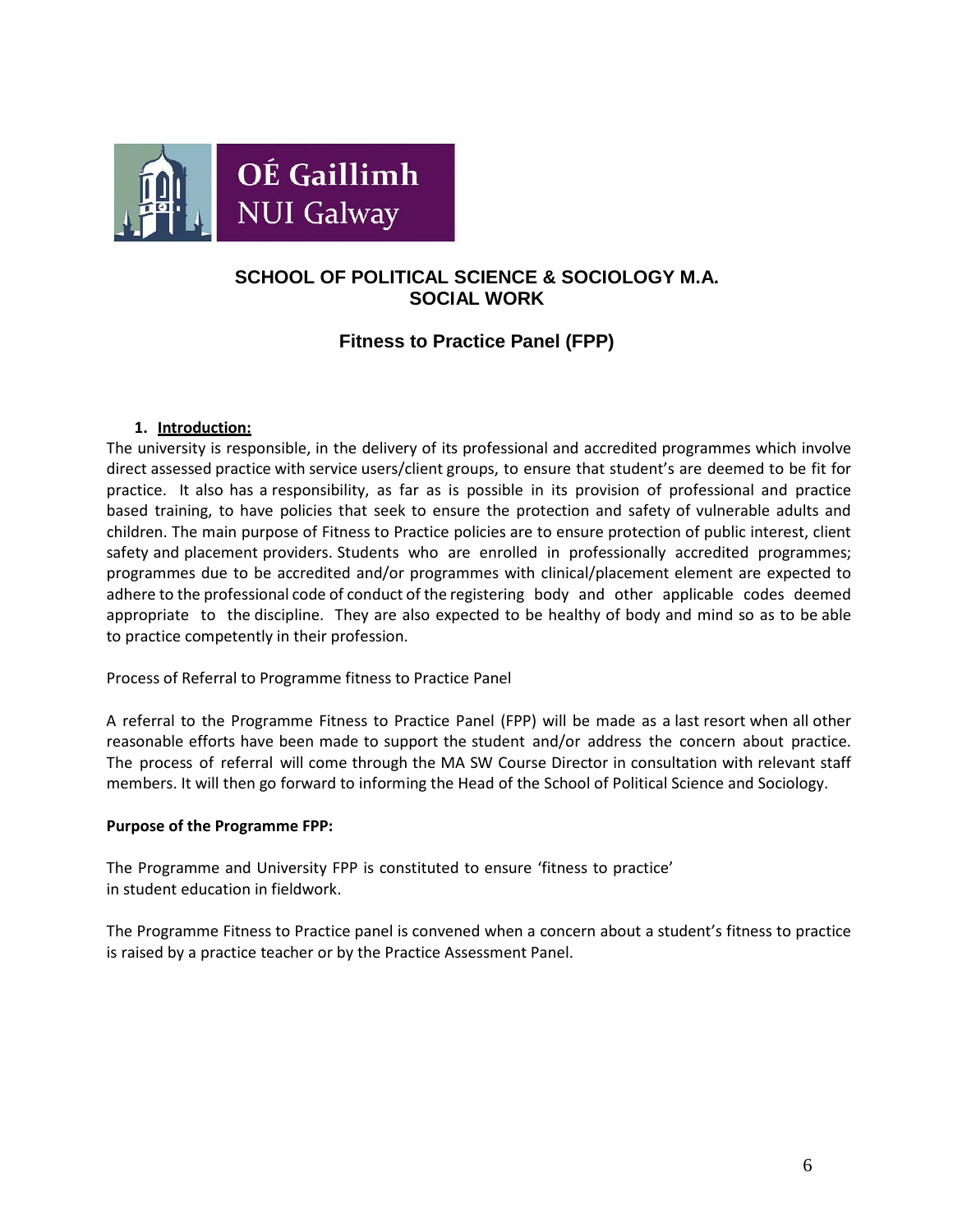

# **SCHOOL OF POLITICAL SCIENCE & SOCIOLOGY M.A. SOCIAL WORK**

# **Fitness to Practice Panel (FPP)**

# **1. Introduction:**

The university is responsible, in the delivery of its professional and accredited programmes which involve direct assessed practice with service users/client groups, to ensure that student's are deemed to be fit for practice. It also has a responsibility, as far as is possible in its provision of professional and practice based training, to have policies that seek to ensure the protection and safety of vulnerable adults and children. The main purpose of Fitness to Practice policies are to ensure protection of public interest, client safety and placement providers. Students who are enrolled in professionally accredited programmes; programmes due to be accredited and/or programmes with clinical/placement element are expected to adhere to the professional code of conduct of the registering body and other applicable codes deemed appropriate to the discipline. They are also expected to be healthy of body and mind so as to be able to practice competently in their profession.

Process of Referral to Programme fitness to Practice Panel

A referral to the Programme Fitness to Practice Panel (FPP) will be made as a last resort when all other reasonable efforts have been made to support the student and/or address the concern about practice. The process of referral will come through the MA SW Course Director in consultation with relevant staff members. It will then go forward to informing the Head of the School of Political Science and Sociology.

#### **Purpose of the Programme FPP:**

The Programme and University FPP is constituted to ensure 'fitness to practice' in student education in fieldwork.

The Programme Fitness to Practice panel is convened when a concern about a student's fitness to practice is raised by a practice teacher or by the Practice Assessment Panel.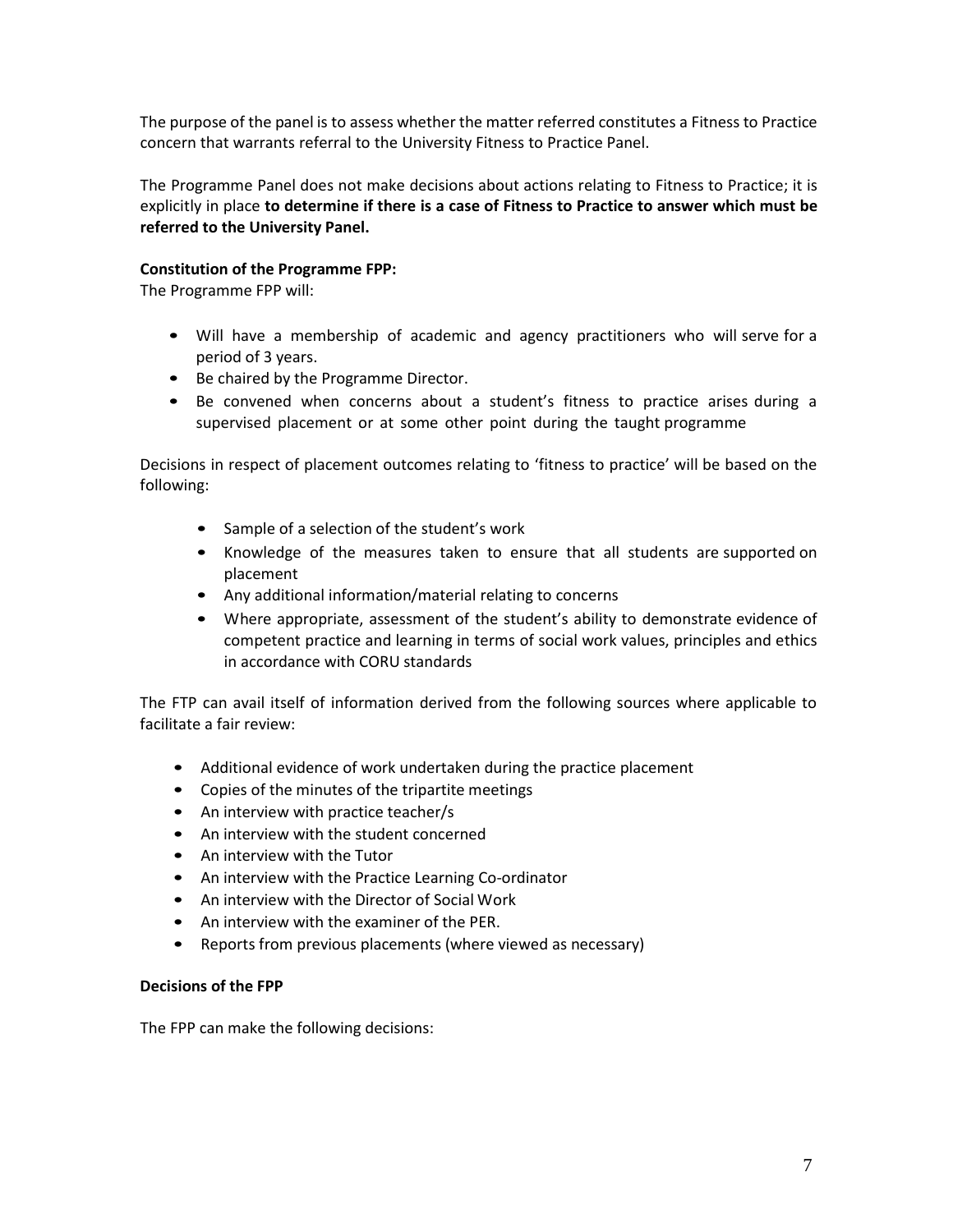The purpose of the panel is to assess whether the matter referred constitutes a Fitness to Practice concern that warrants referral to the University Fitness to Practice Panel.

The Programme Panel does not make decisions about actions relating to Fitness to Practice; it is explicitly in place **to determine if there is a case of Fitness to Practice to answer which must be referred to the University Panel.**

## **Constitution of the Programme FPP:**

The Programme FPP will:

- Will have a membership of academic and agency practitioners who will serve for a period of 3 years.
- Be chaired by the Programme Director.
- Be convened when concerns about a student's fitness to practice arises during a supervised placement or at some other point during the taught programme

Decisions in respect of placement outcomes relating to 'fitness to practice' will be based on the following:

- Sample of a selection of the student's work
- Knowledge of the measures taken to ensure that all students are supported on placement
- Any additional information/material relating to concerns
- Where appropriate, assessment of the student's ability to demonstrate evidence of competent practice and learning in terms of social work values, principles and ethics in accordance with CORU standards

The FTP can avail itself of information derived from the following sources where applicable to facilitate a fair review:

- Additional evidence of work undertaken during the practice placement
- Copies of the minutes of the tripartite meetings
- An interview with practice teacher/s
- An interview with the student concerned
- An interview with the Tutor
- An interview with the Practice Learning Co-ordinator
- An interview with the Director of Social Work
- An interview with the examiner of the PER.
- Reports from previous placements (where viewed as necessary)

#### **Decisions of the FPP**

The FPP can make the following decisions: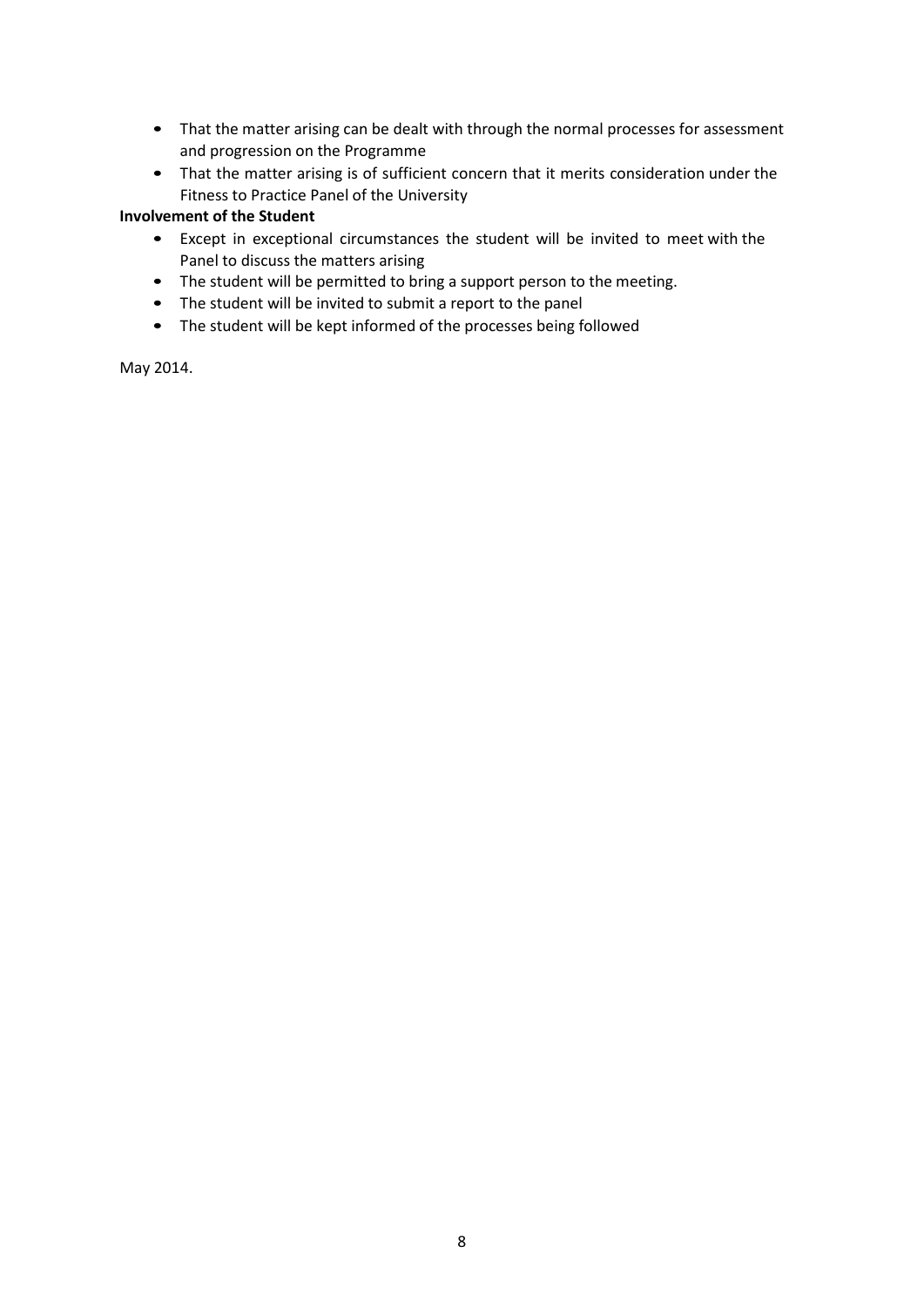- That the matter arising can be dealt with through the normal processes for assessment and progression on the Programme
- That the matter arising is of sufficient concern that it merits consideration under the Fitness to Practice Panel of the University

## **Involvement of the Student**

- Except in exceptional circumstances the student will be invited to meet with the Panel to discuss the matters arising
- The student will be permitted to bring a support person to the meeting.
- The student will be invited to submit a report to the panel
- The student will be kept informed of the processes being followed

May 2014.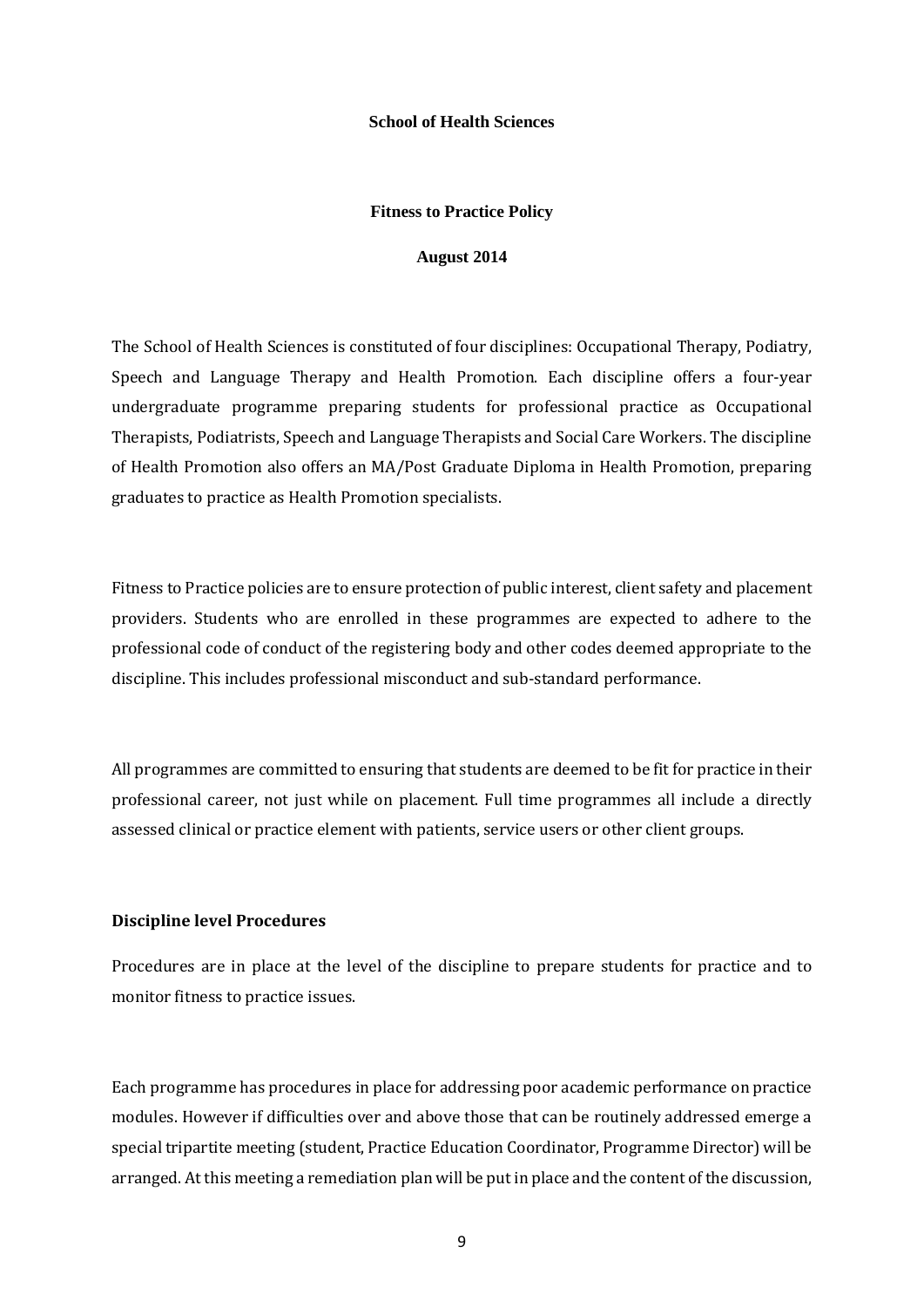#### **School of Health Sciences**

#### **Fitness to Practice Policy**

#### **August 2014**

The School of Health Sciences is constituted of four disciplines: Occupational Therapy, Podiatry, Speech and Language Therapy and Health Promotion. Each discipline offers a four-year undergraduate programme preparing students for professional practice as Occupational Therapists, Podiatrists, Speech and Language Therapists and Social Care Workers. The discipline of Health Promotion also offers an MA/Post Graduate Diploma in Health Promotion, preparing graduates to practice as Health Promotion specialists.

Fitness to Practice policies are to ensure protection of public interest, client safety and placement providers. Students who are enrolled in these programmes are expected to adhere to the professional code of conduct of the registering body and other codes deemed appropriate to the discipline. This includes professional misconduct and sub-standard performance.

All programmes are committed to ensuring that students are deemed to be fit for practice in their professional career, not just while on placement. Full time programmes all include a directly assessed clinical or practice element with patients, service users or other client groups.

#### **Discipline level Procedures**

Procedures are in place at the level of the discipline to prepare students for practice and to monitor fitness to practice issues.

Each programme has procedures in place for addressing poor academic performance on practice modules. However if difficulties over and above those that can be routinely addressed emerge a special tripartite meeting (student, Practice Education Coordinator, Programme Director) will be arranged. At this meeting a remediation plan will be put in place and the content of the discussion,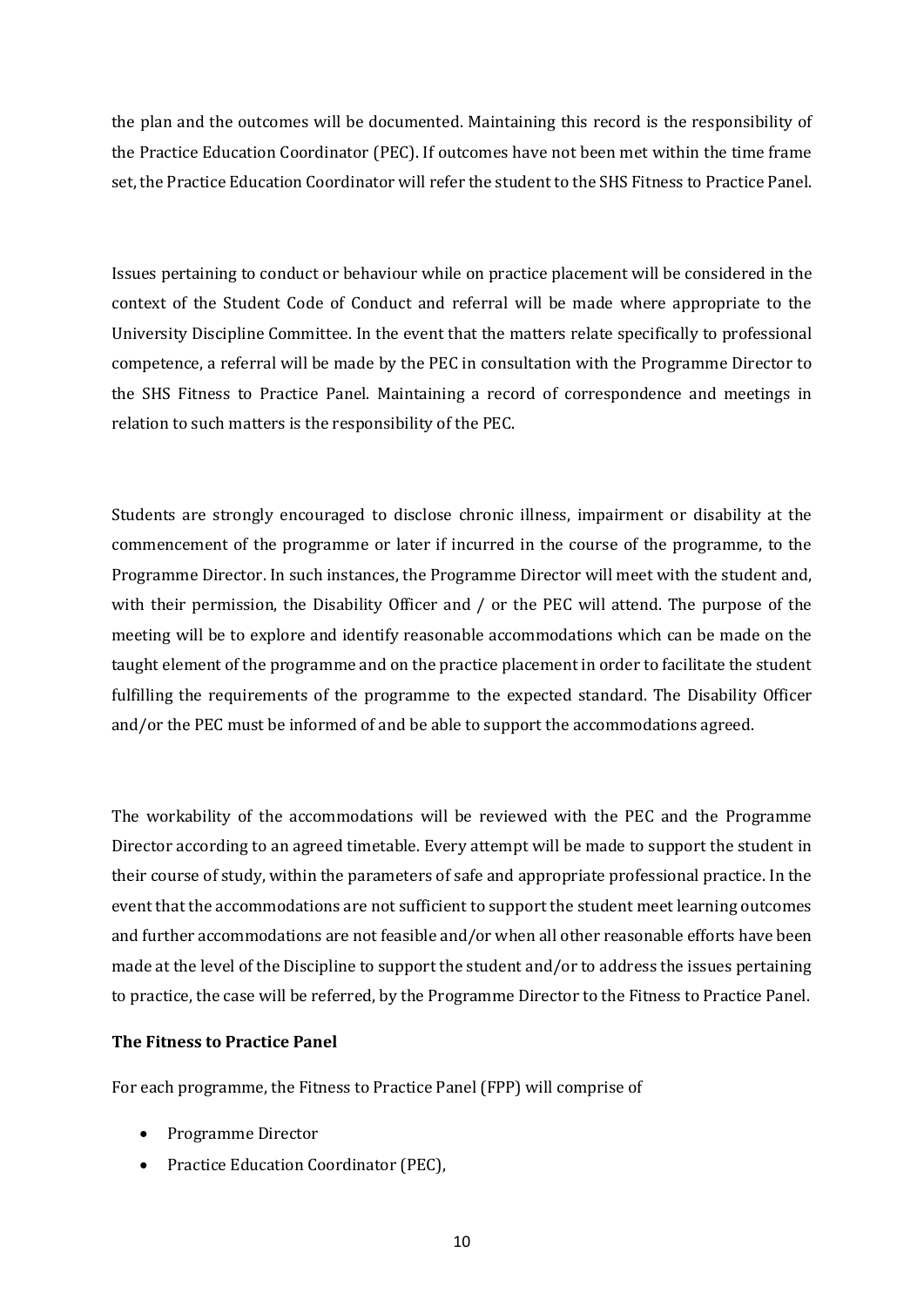the plan and the outcomes will be documented. Maintaining this record is the responsibility of the Practice Education Coordinator (PEC). If outcomes have not been met within the time frame set, the Practice Education Coordinator will refer the student to the SHS Fitness to Practice Panel.

Issues pertaining to conduct or behaviour while on practice placement will be considered in the context of the Student Code of Conduct and referral will be made where appropriate to the University Discipline Committee. In the event that the matters relate specifically to professional competence, a referral will be made by the PEC in consultation with the Programme Director to the SHS Fitness to Practice Panel. Maintaining a record of correspondence and meetings in relation to such matters is the responsibility of the PEC.

Students are strongly encouraged to disclose chronic illness, impairment or disability at the commencement of the programme or later if incurred in the course of the programme, to the Programme Director. In such instances, the Programme Director will meet with the student and, with their permission, the Disability Officer and / or the PEC will attend. The purpose of the meeting will be to explore and identify reasonable accommodations which can be made on the taught element of the programme and on the practice placement in order to facilitate the student fulfilling the requirements of the programme to the expected standard. The Disability Officer and/or the PEC must be informed of and be able to support the accommodations agreed.

The workability of the accommodations will be reviewed with the PEC and the Programme Director according to an agreed timetable. Every attempt will be made to support the student in their course of study, within the parameters of safe and appropriate professional practice. In the event that the accommodations are not sufficient to support the student meet learning outcomes and further accommodations are not feasible and/or when all other reasonable efforts have been made at the level of the Discipline to support the student and/or to address the issues pertaining to practice, the case will be referred, by the Programme Director to the Fitness to Practice Panel.

#### **The Fitness to Practice Panel**

For each programme, the Fitness to Practice Panel (FPP) will comprise of

- Programme Director
- Practice Education Coordinator (PEC),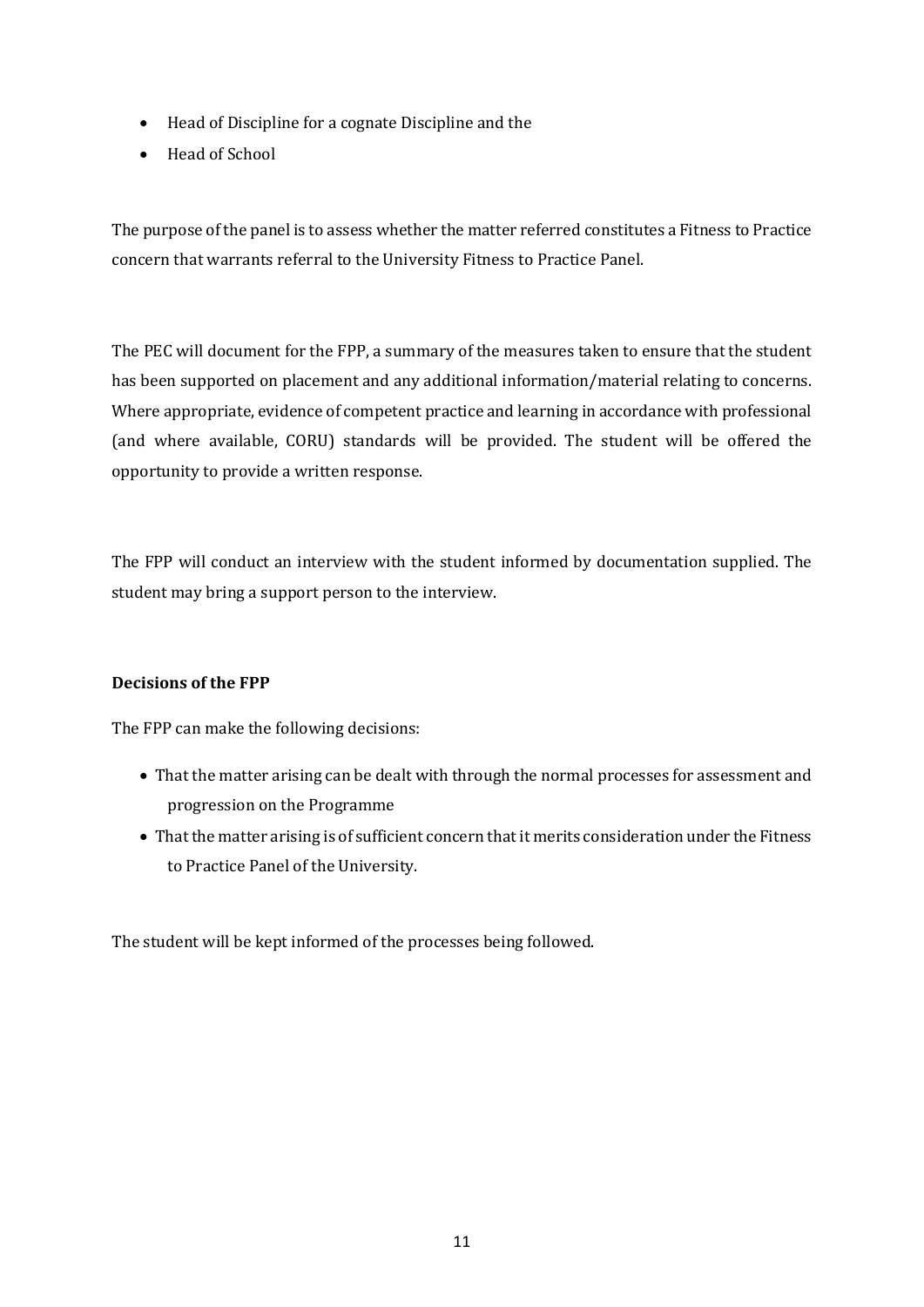- Head of Discipline for a cognate Discipline and the
- Head of School

The purpose of the panel is to assess whether the matter referred constitutes a Fitness to Practice concern that warrants referral to the University Fitness to Practice Panel.

The PEC will document for the FPP, a summary of the measures taken to ensure that the student has been supported on placement and any additional information/material relating to concerns. Where appropriate, evidence of competent practice and learning in accordance with professional (and where available, CORU) standards will be provided. The student will be offered the opportunity to provide a written response.

The FPP will conduct an interview with the student informed by documentation supplied. The student may bring a support person to the interview.

# **Decisions of the FPP**

The FPP can make the following decisions:

- That the matter arising can be dealt with through the normal processes for assessment and progression on the Programme
- That the matter arising is of sufficient concern that it merits consideration under the Fitness to Practice Panel of the University.

The student will be kept informed of the processes being followed.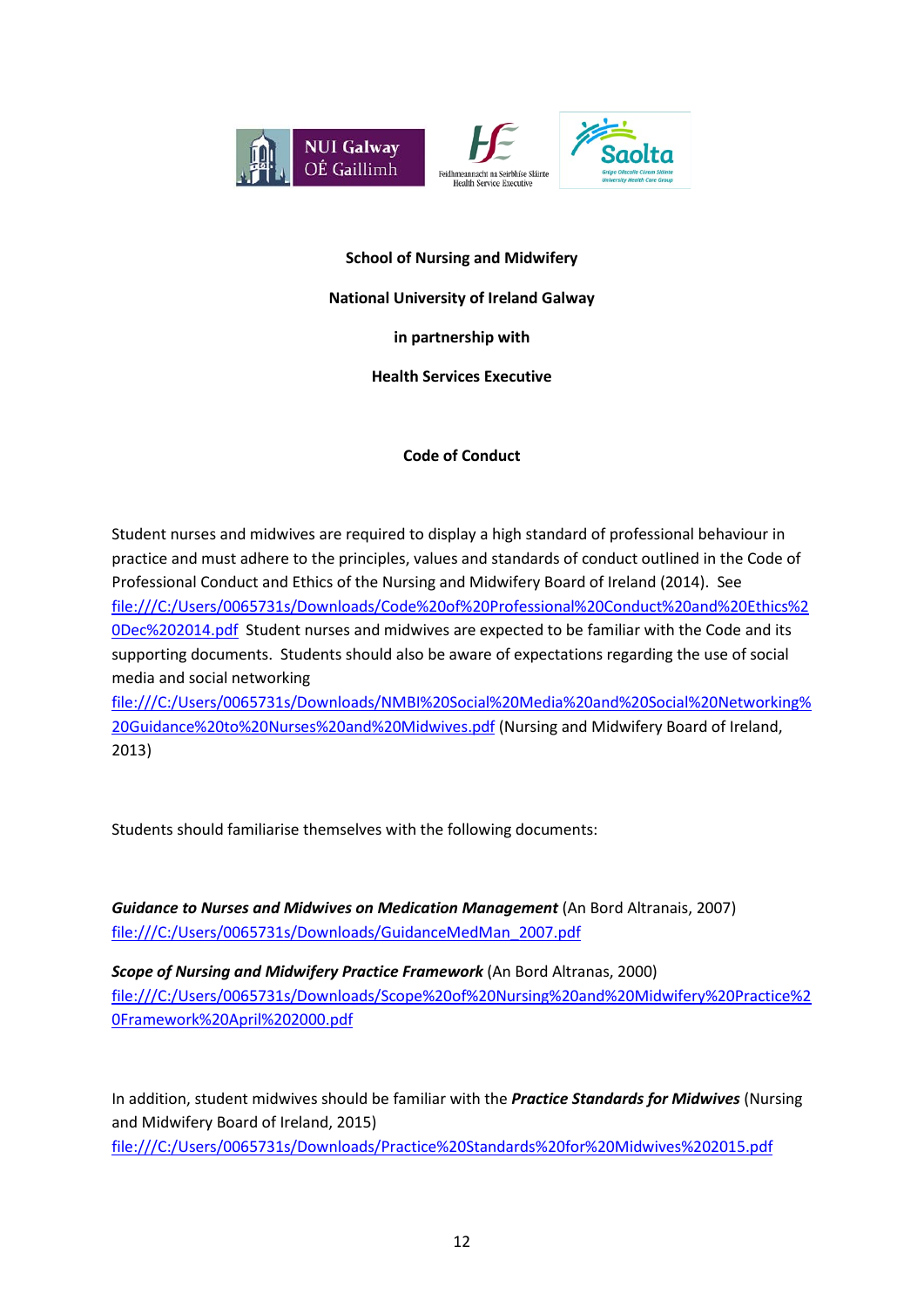





## **School of Nursing and Midwifery**

### **National University of Ireland Galway**

**in partnership with**

**Health Services Executive**

# **Code of Conduct**

Student nurses and midwives are required to display a high standard of professional behaviour in practice and must adhere to the principles, values and standards of conduct outlined in the Code of Professional Conduct and Ethics of the Nursing and Midwifery Board of Ireland (2014). See file:///C:/Users/0065731s/Downloads/Code%20of%20Professional%20Conduct%20and%20Ethics%2 0Dec%202014.pdf Student nurses and midwives are expected to be familiar with the Code and its supporting documents. Students should also be aware of expectations regarding the use of social media and social networking

file:///C:/Users/0065731s/Downloads/NMBI%20Social%20Media%20and%20Social%20Networking% 20Guidance%20to%20Nurses%20and%20Midwives.pdf (Nursing and Midwifery Board of Ireland, 2013)

Students should familiarise themselves with the following documents:

*Guidance to Nurses and Midwives on Medication Management* (An Bord Altranais, 2007) file:///C:/Users/0065731s/Downloads/GuidanceMedMan\_2007.pdf

*Scope of Nursing and Midwifery Practice Framework* (An Bord Altranas, 2000) file:///C:/Users/0065731s/Downloads/Scope%20of%20Nursing%20and%20Midwifery%20Practice%2 0Framework%20April%202000.pdf

In addition, student midwives should be familiar with the *Practice Standards for Midwives* (Nursing and Midwifery Board of Ireland, 2015) file:///C:/Users/0065731s/Downloads/Practice%20Standards%20for%20Midwives%202015.pdf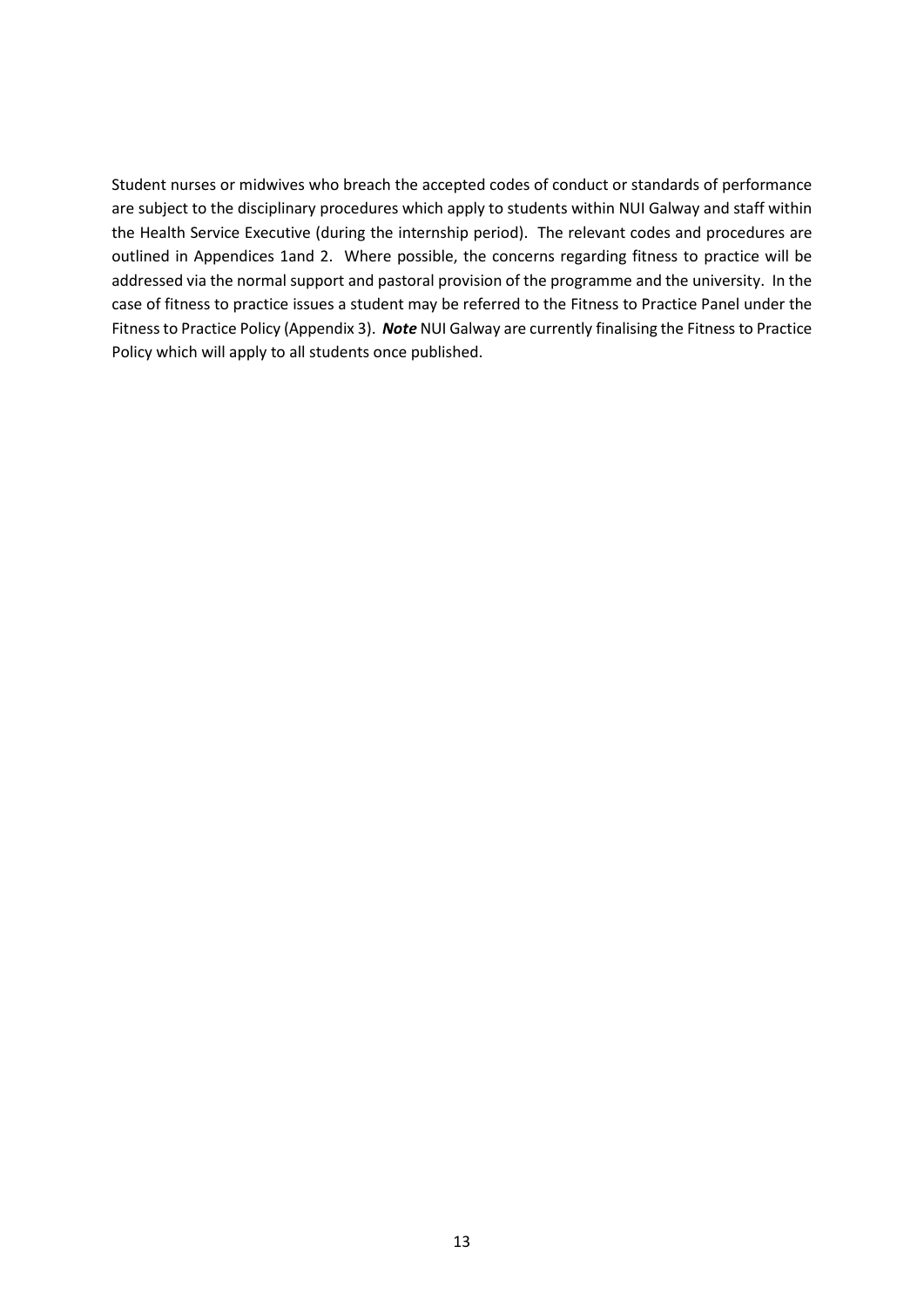Student nurses or midwives who breach the accepted codes of conduct or standards of performance are subject to the disciplinary procedures which apply to students within NUI Galway and staff within the Health Service Executive (during the internship period). The relevant codes and procedures are outlined in Appendices 1and 2. Where possible, the concerns regarding fitness to practice will be addressed via the normal support and pastoral provision of the programme and the university. In the case of fitness to practice issues a student may be referred to the Fitness to Practice Panel under the Fitness to Practice Policy (Appendix 3). *Note* NUI Galway are currently finalising the Fitness to Practice Policy which will apply to all students once published.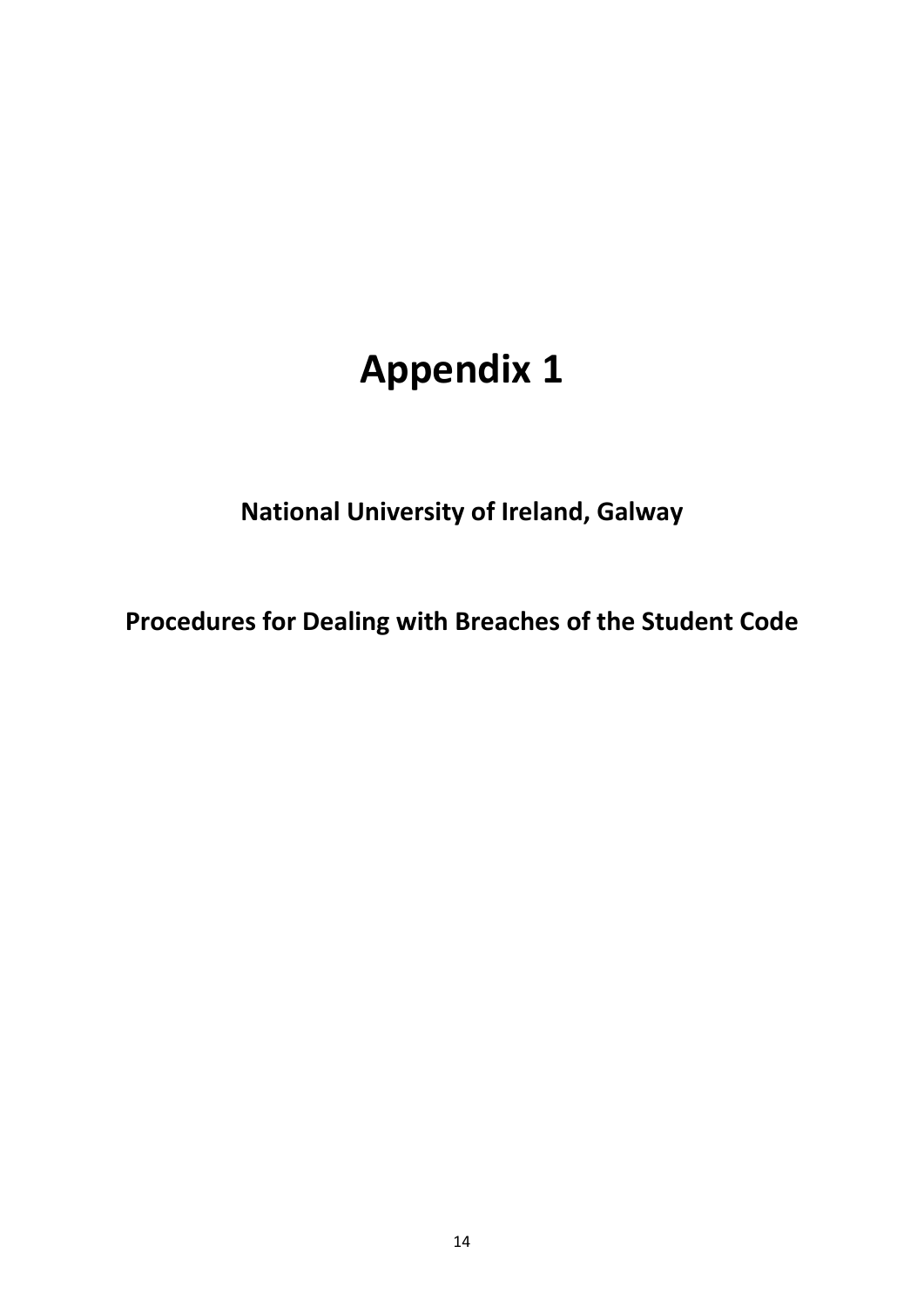# **Appendix 1**

**National University of Ireland, Galway**

**Procedures for Dealing with Breaches of the Student Code**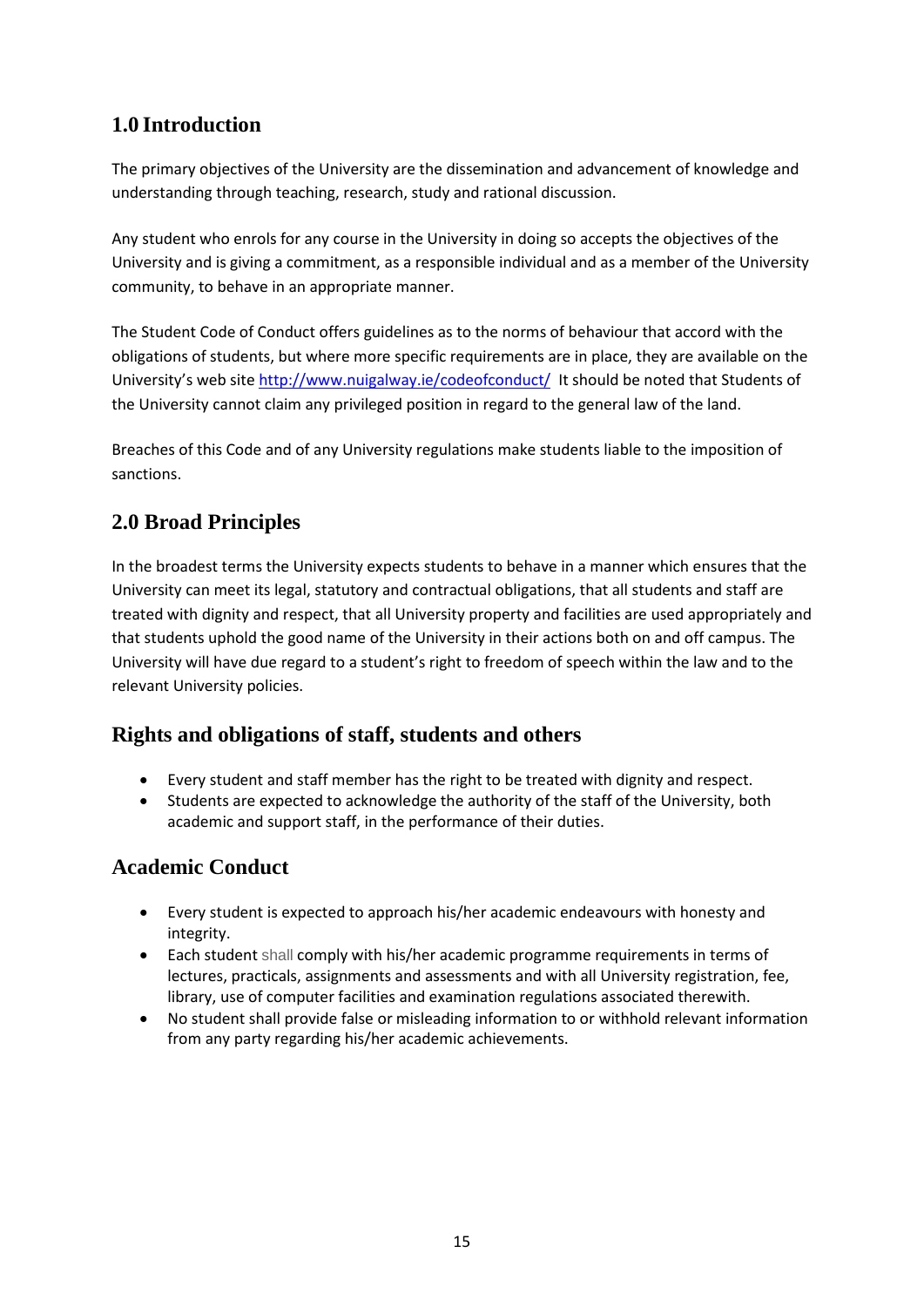# **1.0 Introduction**

The primary objectives of the University are the dissemination and advancement of knowledge and understanding through teaching, research, study and rational discussion.

Any student who enrols for any course in the University in doing so accepts the objectives of the University and is giving a commitment, as a responsible individual and as a member of the University community, to behave in an appropriate manner.

The Student Code of Conduct offers guidelines as to the norms of behaviour that accord with the obligations of students, but where more specific requirements are in place, they are available on the University's web site <http://www.nuigalway.ie/codeofconduct/> It should be noted that Students of the University cannot claim any privileged position in regard to the general law of the land.

Breaches of this Code and of any University regulations make students liable to the imposition of sanctions.

# **2.0 Broad Principles**

In the broadest terms the University expects students to behave in a manner which ensures that the University can meet its legal, statutory and contractual obligations, that all students and staff are treated with dignity and respect, that all University property and facilities are used appropriately and that students uphold the good name of the University in their actions both on and off campus. The University will have due regard to a student's right to freedom of speech within the law and to the relevant University policies.

# **Rights and obligations of staff, students and others**

- Every student and staff member has the right to be treated with dignity and respect.
- Students are expected to acknowledge the authority of the staff of the University, both academic and support staff, in the performance of their duties.

# **Academic Conduct**

- Every student is expected to approach his/her academic endeavours with honesty and integrity.
- Each student shall comply with his/her academic programme requirements in terms of lectures, practicals, assignments and assessments and with all University registration, fee, library, use of computer facilities and examination regulations associated therewith.
- No student shall provide false or misleading information to or withhold relevant information from any party regarding his/her academic achievements.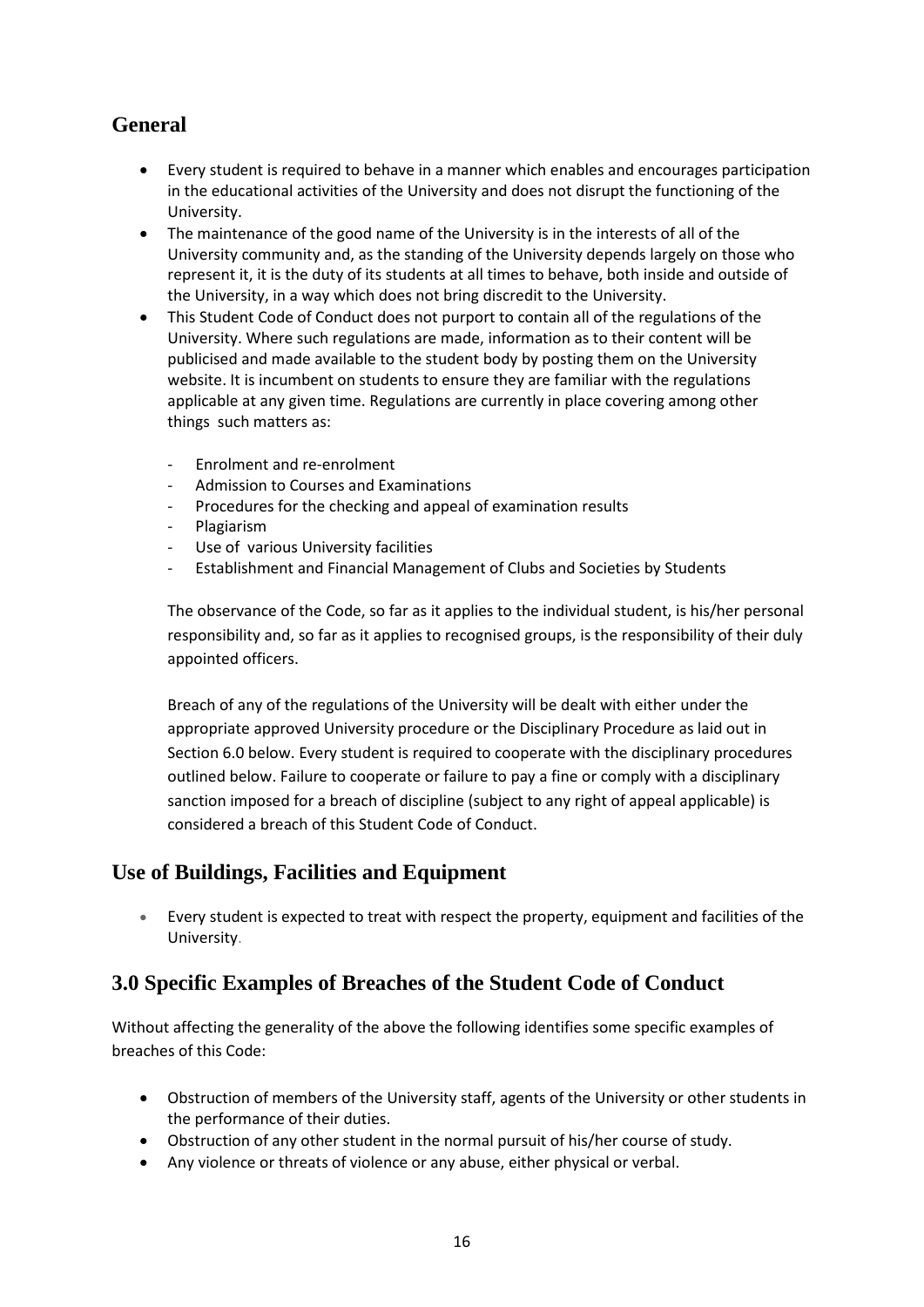# **General**

- Every student is required to behave in a manner which enables and encourages participation in the educational activities of the University and does not disrupt the functioning of the University.
- The maintenance of the good name of the University is in the interests of all of the University community and, as the standing of the University depends largely on those who represent it, it is the duty of its students at all times to behave, both inside and outside of the University, in a way which does not bring discredit to the University.
- This Student Code of Conduct does not purport to contain all of the regulations of the University. Where such regulations are made, information as to their content will be publicised and made available to the student body by posting them on the University website. It is incumbent on students to ensure they are familiar with the regulations applicable at any given time. Regulations are currently in place covering among other things such matters as:
	- Enrolment and re-enrolment
	- Admission to Courses and Examinations
	- Procedures for the checking and appeal of examination results
	- Plagiarism
	- Use of various University facilities
	- Establishment and Financial Management of Clubs and Societies by Students

The observance of the Code, so far as it applies to the individual student, is his/her personal responsibility and, so far as it applies to recognised groups, is the responsibility of their duly appointed officers.

Breach of any of the regulations of the University will be dealt with either under the appropriate approved University procedure or the Disciplinary Procedure as laid out in Section 6.0 below. Every student is required to cooperate with the disciplinary procedures outlined below. Failure to cooperate or failure to pay a fine or comply with a disciplinary sanction imposed for a breach of discipline (subject to any right of appeal applicable) is considered a breach of this Student Code of Conduct.

# **Use of Buildings, Facilities and Equipment**

• Every student is expected to treat with respect the property, equipment and facilities of the University.

# **3.0 Specific Examples of Breaches of the Student Code of Conduct**

Without affecting the generality of the above the following identifies some specific examples of breaches of this Code:

- Obstruction of members of the University staff, agents of the University or other students in the performance of their duties.
- Obstruction of any other student in the normal pursuit of his/her course of study.
- Any violence or threats of violence or any abuse, either physical or verbal.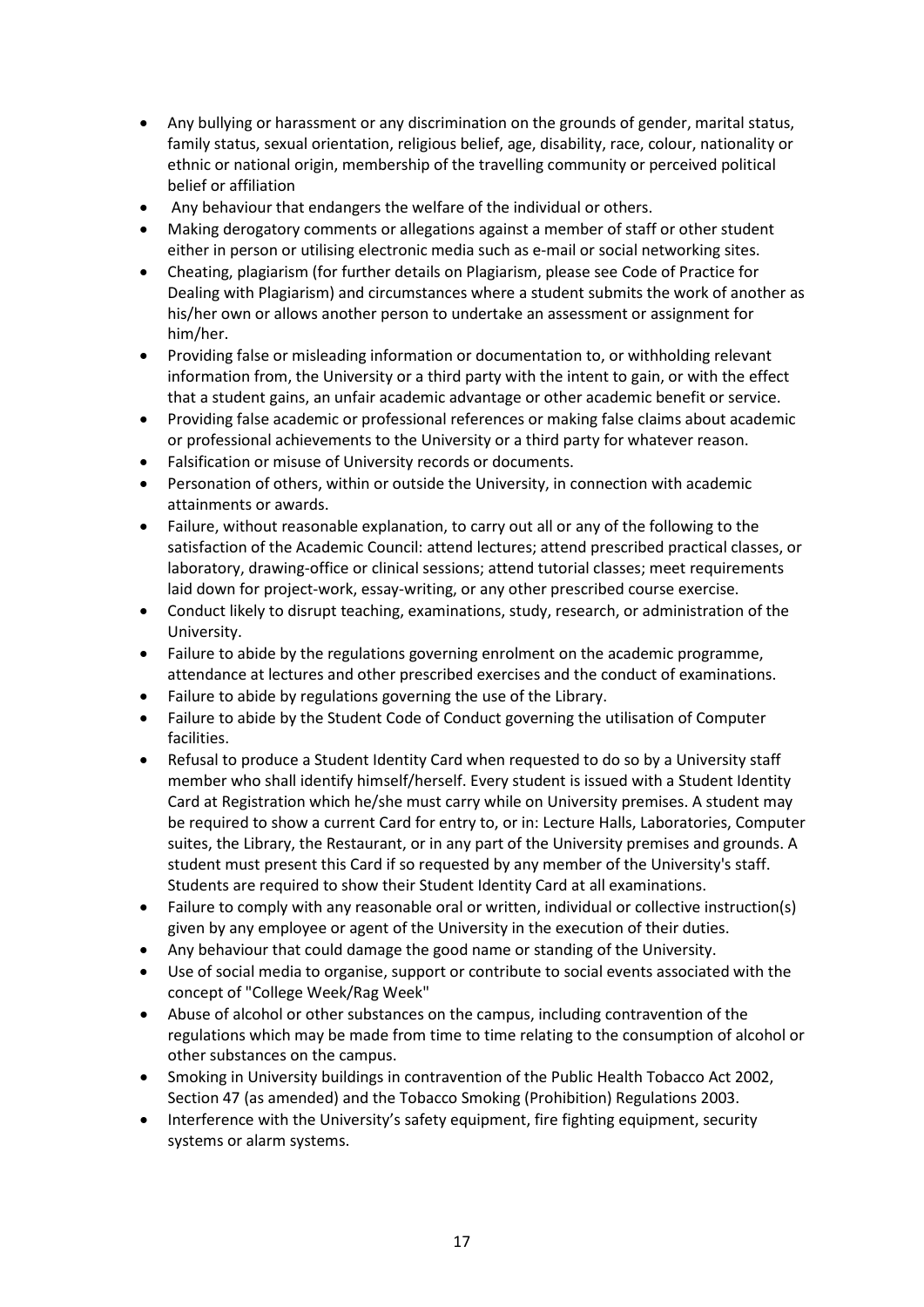- Any bullying or harassment or any discrimination on the grounds of gender, marital status, family status, sexual orientation, religious belief, age, disability, race, colour, nationality or ethnic or national origin, membership of the travelling community or perceived political belief or affiliation
- Any behaviour that endangers the welfare of the individual or others.
- Making derogatory comments or allegations against a member of staff or other student either in person or utilising electronic media such as e-mail or social networking sites.
- Cheating, plagiarism (for further details on Plagiarism, please see Code of Practice for Dealing with Plagiarism) and circumstances where a student submits the work of another as his/her own or allows another person to undertake an assessment or assignment for him/her.
- Providing false or misleading information or documentation to, or withholding relevant information from, the University or a third party with the intent to gain, or with the effect that a student gains, an unfair academic advantage or other academic benefit or service.
- Providing false academic or professional references or making false claims about academic or professional achievements to the University or a third party for whatever reason.
- Falsification or misuse of University records or documents.
- Personation of others, within or outside the University, in connection with academic attainments or awards.
- Failure, without reasonable explanation, to carry out all or any of the following to the satisfaction of the Academic Council: attend lectures; attend prescribed practical classes, or laboratory, drawing-office or clinical sessions; attend tutorial classes; meet requirements laid down for project-work, essay-writing, or any other prescribed course exercise.
- Conduct likely to disrupt teaching, examinations, study, research, or administration of the University.
- Failure to abide by the regulations governing enrolment on the academic programme, attendance at lectures and other prescribed exercises and the conduct of examinations.
- Failure to abide by regulations governing the use of the Library.
- Failure to abide by the Student Code of Conduct governing the utilisation of Computer facilities.
- Refusal to produce a Student Identity Card when requested to do so by a University staff member who shall identify himself/herself. Every student is issued with a Student Identity Card at Registration which he/she must carry while on University premises. A student may be required to show a current Card for entry to, or in: Lecture Halls, Laboratories, Computer suites, the Library, the Restaurant, or in any part of the University premises and grounds. A student must present this Card if so requested by any member of the University's staff. Students are required to show their Student Identity Card at all examinations.
- Failure to comply with any reasonable oral or written, individual or collective instruction(s) given by any employee or agent of the University in the execution of their duties.
- Any behaviour that could damage the good name or standing of the University.
- Use of social media to organise, support or contribute to social events associated with the concept of "College Week/Rag Week"
- Abuse of alcohol or other substances on the campus, including contravention of the regulations which may be made from time to time relating to the consumption of alcohol or other substances on the campus.
- Smoking in University buildings in contravention of the Public Health Tobacco Act 2002, Section 47 (as amended) and the Tobacco Smoking (Prohibition) Regulations 2003.
- Interference with the University's safety equipment, fire fighting equipment, security systems or alarm systems.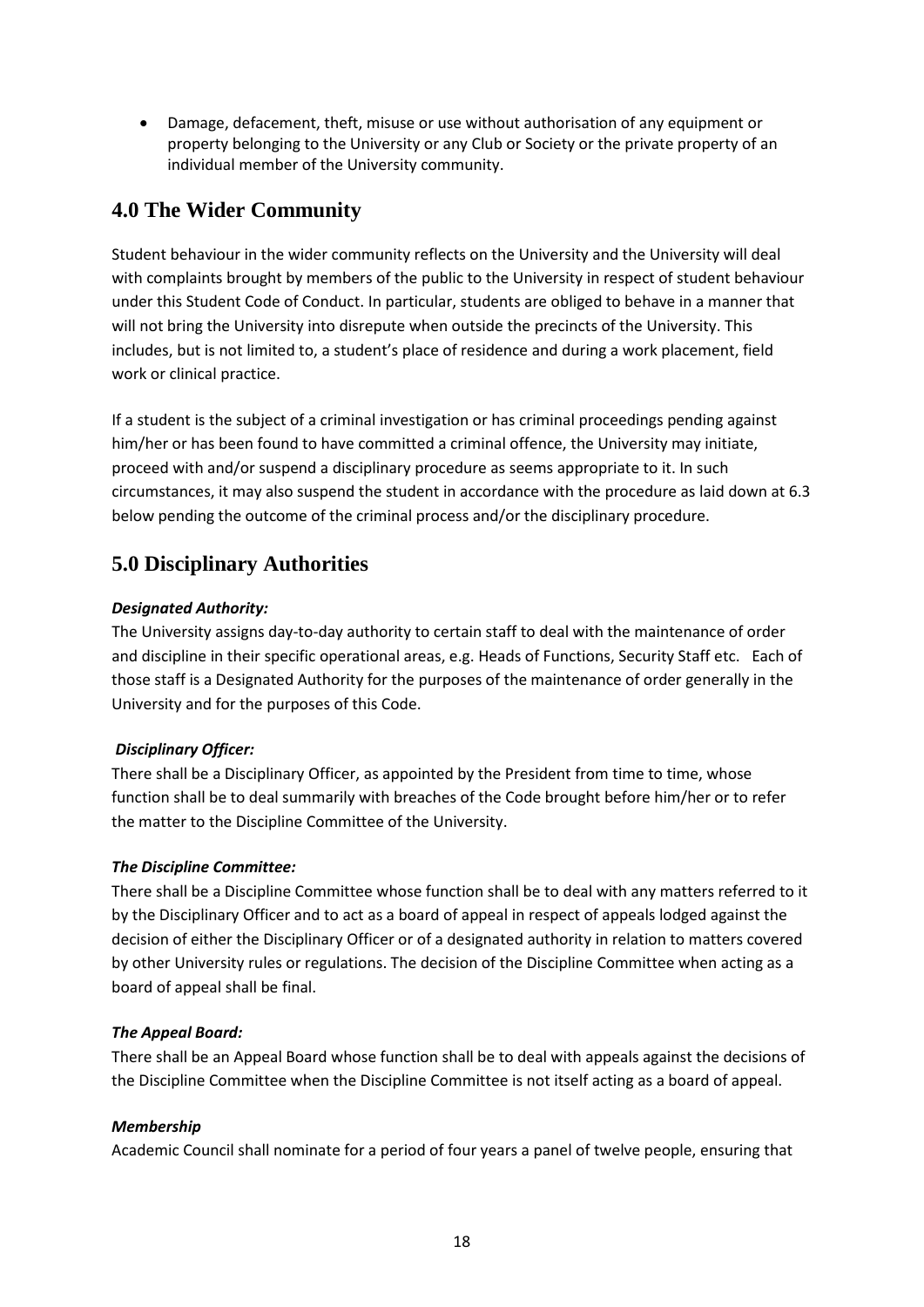• Damage, defacement, theft, misuse or use without authorisation of any equipment or property belonging to the University or any Club or Society or the private property of an individual member of the University community.

# **4.0 The Wider Community**

Student behaviour in the wider community reflects on the University and the University will deal with complaints brought by members of the public to the University in respect of student behaviour under this Student Code of Conduct. In particular, students are obliged to behave in a manner that will not bring the University into disrepute when outside the precincts of the University. This includes, but is not limited to, a student's place of residence and during a work placement, field work or clinical practice.

If a student is the subject of a criminal investigation or has criminal proceedings pending against him/her or has been found to have committed a criminal offence, the University may initiate, proceed with and/or suspend a disciplinary procedure as seems appropriate to it. In such circumstances, it may also suspend the student in accordance with the procedure as laid down at 6.3 below pending the outcome of the criminal process and/or the disciplinary procedure.

# **5.0 Disciplinary Authorities**

# *Designated Authority:*

The University assigns day-to-day authority to certain staff to deal with the maintenance of order and discipline in their specific operational areas, e.g. Heads of Functions, Security Staff etc. Each of those staff is a Designated Authority for the purposes of the maintenance of order generally in the University and for the purposes of this Code.

# *Disciplinary Officer:*

There shall be a Disciplinary Officer, as appointed by the President from time to time, whose function shall be to deal summarily with breaches of the Code brought before him/her or to refer the matter to the Discipline Committee of the University.

# *The Discipline Committee:*

There shall be a Discipline Committee whose function shall be to deal with any matters referred to it by the Disciplinary Officer and to act as a board of appeal in respect of appeals lodged against the decision of either the Disciplinary Officer or of a designated authority in relation to matters covered by other University rules or regulations. The decision of the Discipline Committee when acting as a board of appeal shall be final.

# *The Appeal Board:*

There shall be an Appeal Board whose function shall be to deal with appeals against the decisions of the Discipline Committee when the Discipline Committee is not itself acting as a board of appeal.

# *Membership*

Academic Council shall nominate for a period of four years a panel of twelve people, ensuring that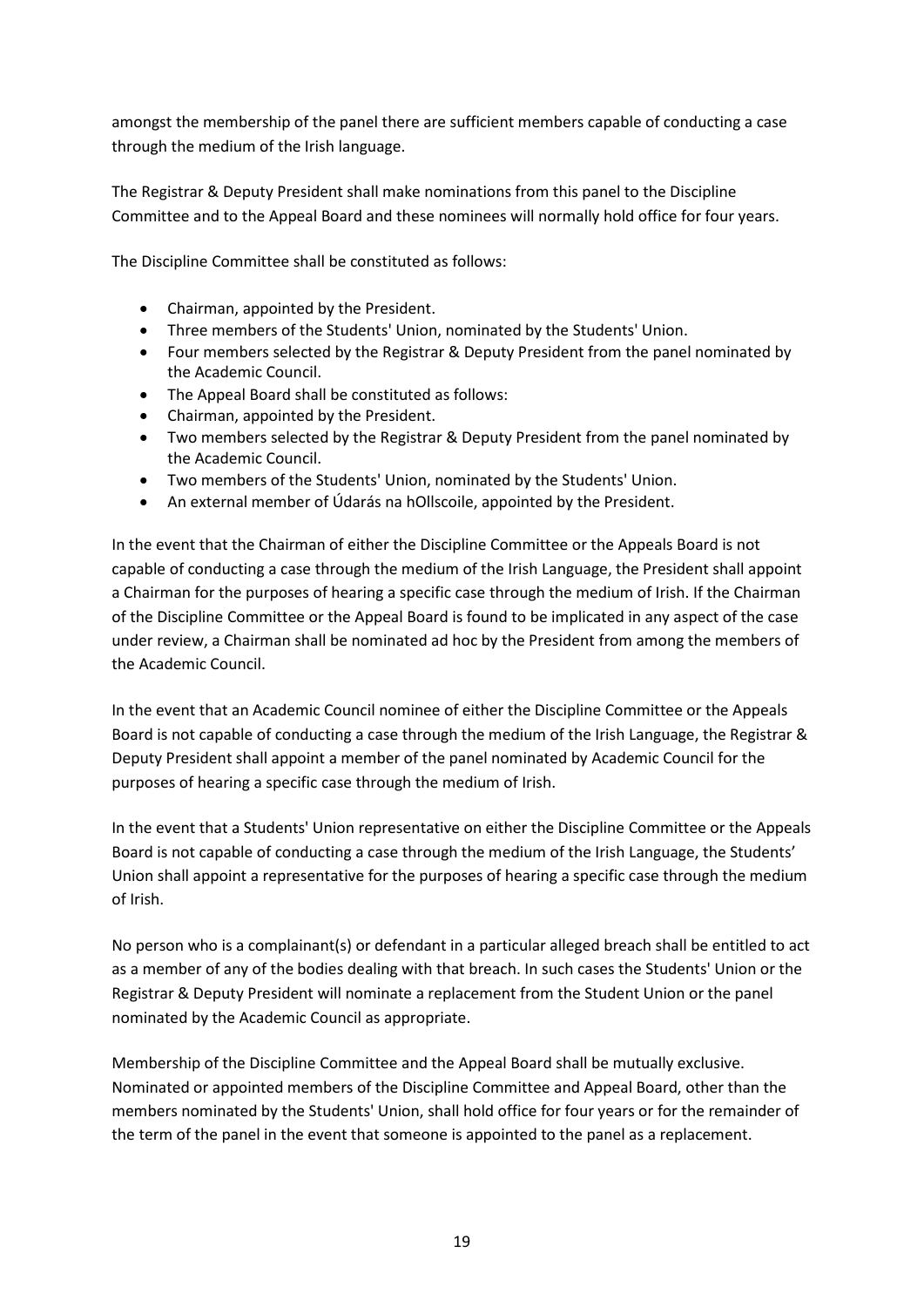amongst the membership of the panel there are sufficient members capable of conducting a case through the medium of the Irish language.

The Registrar & Deputy President shall make nominations from this panel to the Discipline Committee and to the Appeal Board and these nominees will normally hold office for four years.

The Discipline Committee shall be constituted as follows:

- Chairman, appointed by the President.
- Three members of the Students' Union, nominated by the Students' Union.
- Four members selected by the Registrar & Deputy President from the panel nominated by the Academic Council.
- The Appeal Board shall be constituted as follows:
- Chairman, appointed by the President.
- Two members selected by the Registrar & Deputy President from the panel nominated by the Academic Council.
- Two members of the Students' Union, nominated by the Students' Union.
- An external member of Údarás na hOllscoile, appointed by the President.

In the event that the Chairman of either the Discipline Committee or the Appeals Board is not capable of conducting a case through the medium of the Irish Language, the President shall appoint a Chairman for the purposes of hearing a specific case through the medium of Irish. If the Chairman of the Discipline Committee or the Appeal Board is found to be implicated in any aspect of the case under review, a Chairman shall be nominated ad hoc by the President from among the members of the Academic Council.

In the event that an Academic Council nominee of either the Discipline Committee or the Appeals Board is not capable of conducting a case through the medium of the Irish Language, the Registrar & Deputy President shall appoint a member of the panel nominated by Academic Council for the purposes of hearing a specific case through the medium of Irish.

In the event that a Students' Union representative on either the Discipline Committee or the Appeals Board is not capable of conducting a case through the medium of the Irish Language, the Students' Union shall appoint a representative for the purposes of hearing a specific case through the medium of Irish.

No person who is a complainant(s) or defendant in a particular alleged breach shall be entitled to act as a member of any of the bodies dealing with that breach. In such cases the Students' Union or the Registrar & Deputy President will nominate a replacement from the Student Union or the panel nominated by the Academic Council as appropriate.

Membership of the Discipline Committee and the Appeal Board shall be mutually exclusive. Nominated or appointed members of the Discipline Committee and Appeal Board, other than the members nominated by the Students' Union, shall hold office for four years or for the remainder of the term of the panel in the event that someone is appointed to the panel as a replacement.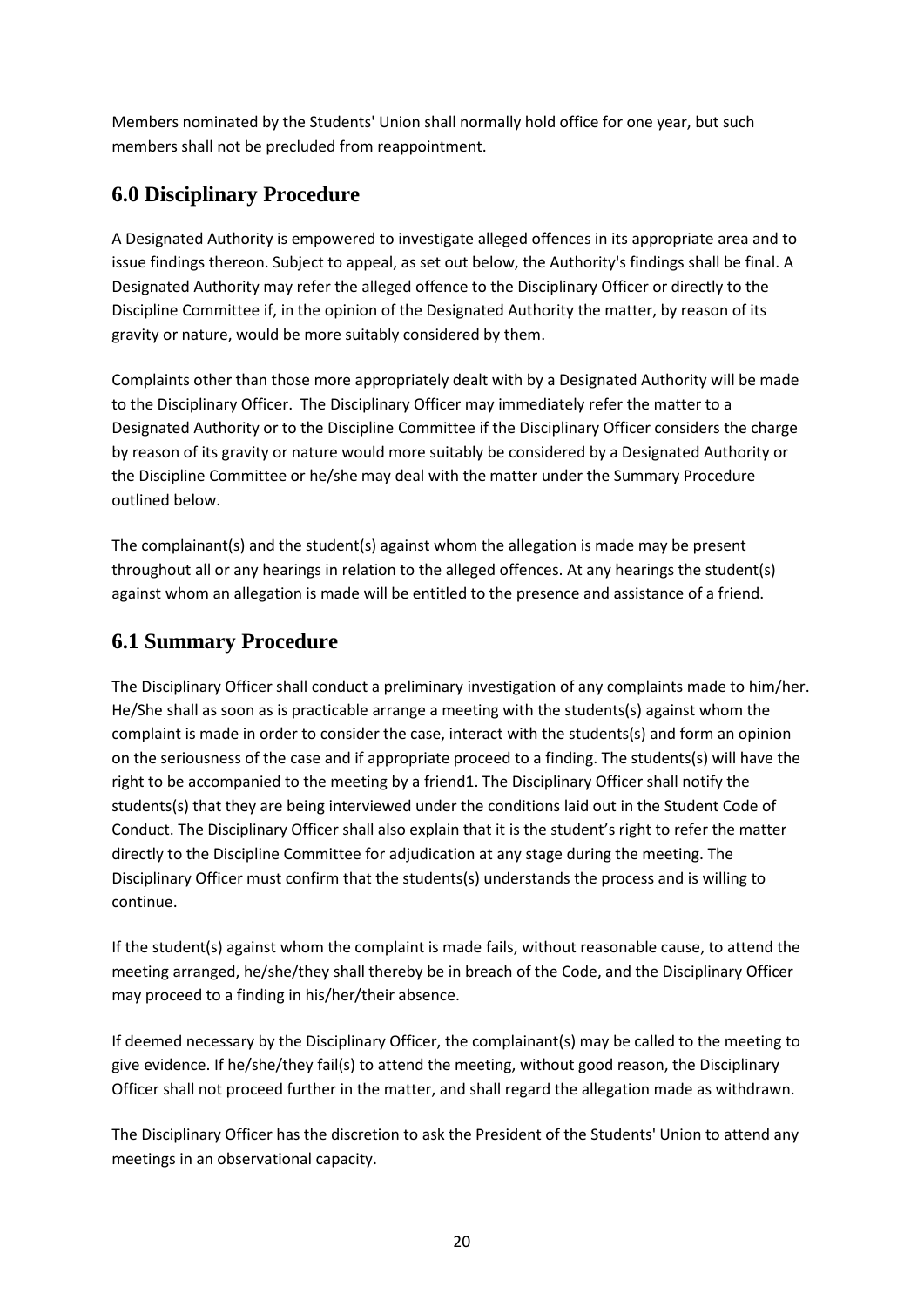Members nominated by the Students' Union shall normally hold office for one year, but such members shall not be precluded from reappointment.

# **6.0 Disciplinary Procedure**

A Designated Authority is empowered to investigate alleged offences in its appropriate area and to issue findings thereon. Subject to appeal, as set out below, the Authority's findings shall be final. A Designated Authority may refer the alleged offence to the Disciplinary Officer or directly to the Discipline Committee if, in the opinion of the Designated Authority the matter, by reason of its gravity or nature, would be more suitably considered by them.

Complaints other than those more appropriately dealt with by a Designated Authority will be made to the Disciplinary Officer. The Disciplinary Officer may immediately refer the matter to a Designated Authority or to the Discipline Committee if the Disciplinary Officer considers the charge by reason of its gravity or nature would more suitably be considered by a Designated Authority or the Discipline Committee or he/she may deal with the matter under the Summary Procedure outlined below.

The complainant(s) and the student(s) against whom the allegation is made may be present throughout all or any hearings in relation to the alleged offences. At any hearings the student(s) against whom an allegation is made will be entitled to the presence and assistance of a friend.

# **6.1 Summary Procedure**

The Disciplinary Officer shall conduct a preliminary investigation of any complaints made to him/her. He/She shall as soon as is practicable arrange a meeting with the students(s) against whom the complaint is made in order to consider the case, interact with the students(s) and form an opinion on the seriousness of the case and if appropriate proceed to a finding. The students(s) will have the right to be accompanied to the meeting by a friend1. The Disciplinary Officer shall notify the students(s) that they are being interviewed under the conditions laid out in the Student Code of Conduct. The Disciplinary Officer shall also explain that it is the student's right to refer the matter directly to the Discipline Committee for adjudication at any stage during the meeting. The Disciplinary Officer must confirm that the students(s) understands the process and is willing to continue.

If the student(s) against whom the complaint is made fails, without reasonable cause, to attend the meeting arranged, he/she/they shall thereby be in breach of the Code, and the Disciplinary Officer may proceed to a finding in his/her/their absence.

If deemed necessary by the Disciplinary Officer, the complainant(s) may be called to the meeting to give evidence. If he/she/they fail(s) to attend the meeting, without good reason, the Disciplinary Officer shall not proceed further in the matter, and shall regard the allegation made as withdrawn.

The Disciplinary Officer has the discretion to ask the President of the Students' Union to attend any meetings in an observational capacity.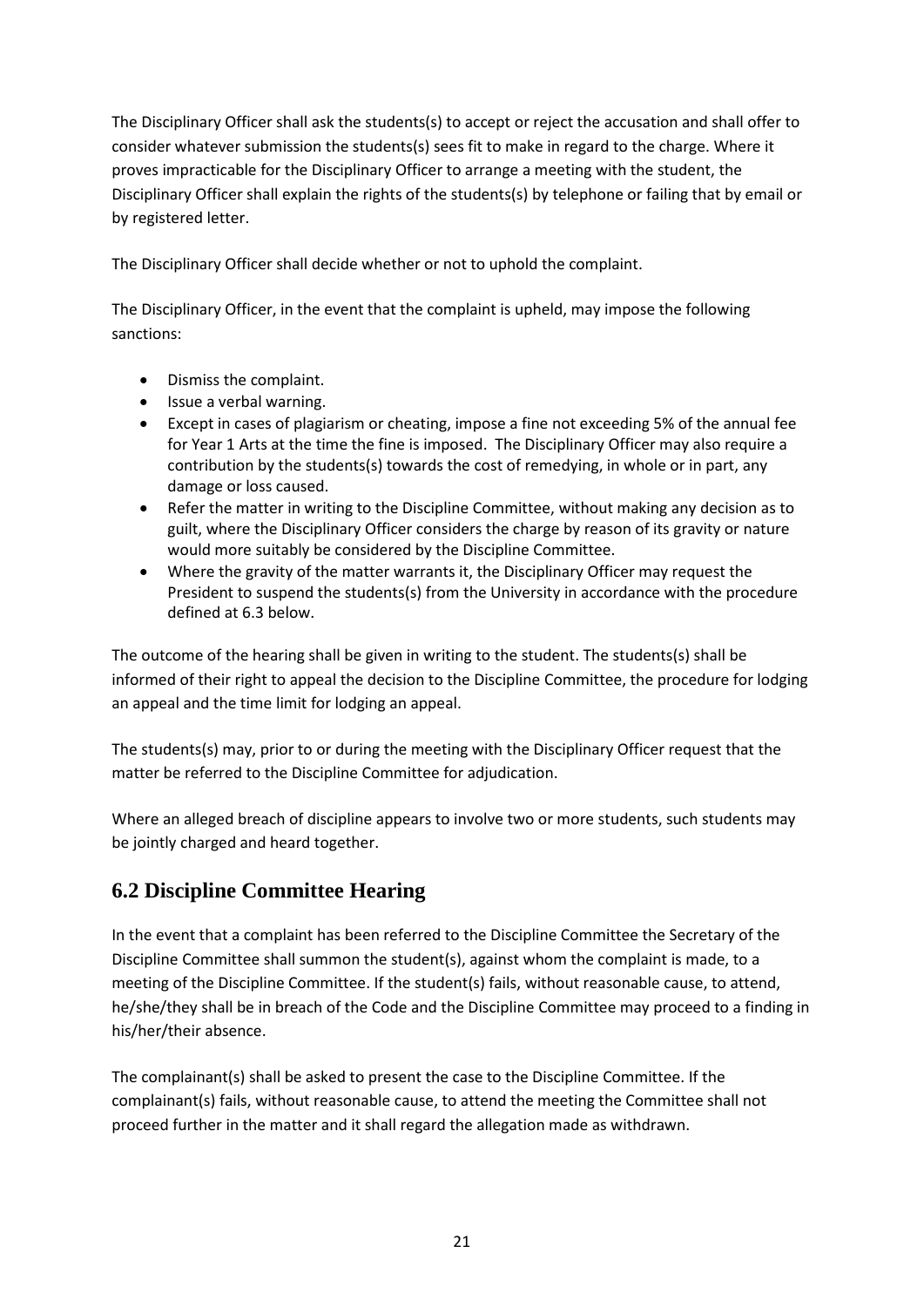The Disciplinary Officer shall ask the students(s) to accept or reject the accusation and shall offer to consider whatever submission the students(s) sees fit to make in regard to the charge. Where it proves impracticable for the Disciplinary Officer to arrange a meeting with the student, the Disciplinary Officer shall explain the rights of the students(s) by telephone or failing that by email or by registered letter.

The Disciplinary Officer shall decide whether or not to uphold the complaint.

The Disciplinary Officer, in the event that the complaint is upheld, may impose the following sanctions:

- Dismiss the complaint.
- Issue a verbal warning.
- Except in cases of plagiarism or cheating, impose a fine not exceeding 5% of the annual fee for Year 1 Arts at the time the fine is imposed. The Disciplinary Officer may also require a contribution by the students(s) towards the cost of remedying, in whole or in part, any damage or loss caused.
- Refer the matter in writing to the Discipline Committee, without making any decision as to guilt, where the Disciplinary Officer considers the charge by reason of its gravity or nature would more suitably be considered by the Discipline Committee.
- Where the gravity of the matter warrants it, the Disciplinary Officer may request the President to suspend the students(s) from the University in accordance with the procedure defined at 6.3 below.

The outcome of the hearing shall be given in writing to the student. The students(s) shall be informed of their right to appeal the decision to the Discipline Committee, the procedure for lodging an appeal and the time limit for lodging an appeal.

The students(s) may, prior to or during the meeting with the Disciplinary Officer request that the matter be referred to the Discipline Committee for adjudication.

Where an alleged breach of discipline appears to involve two or more students, such students may be jointly charged and heard together.

# **6.2 Discipline Committee Hearing**

In the event that a complaint has been referred to the Discipline Committee the Secretary of the Discipline Committee shall summon the student(s), against whom the complaint is made, to a meeting of the Discipline Committee. If the student(s) fails, without reasonable cause, to attend, he/she/they shall be in breach of the Code and the Discipline Committee may proceed to a finding in his/her/their absence.

The complainant(s) shall be asked to present the case to the Discipline Committee. If the complainant(s) fails, without reasonable cause, to attend the meeting the Committee shall not proceed further in the matter and it shall regard the allegation made as withdrawn.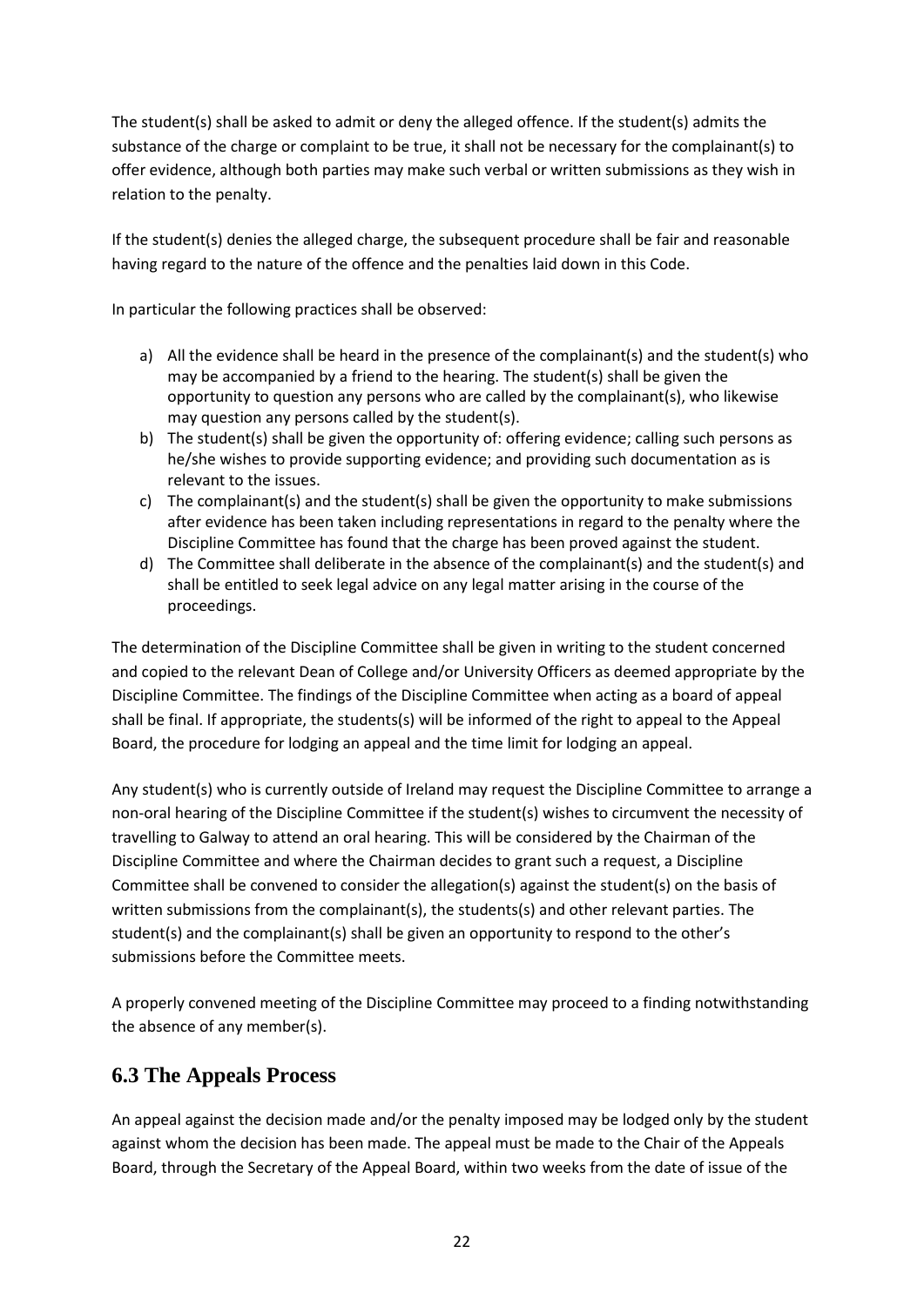The student(s) shall be asked to admit or deny the alleged offence. If the student(s) admits the substance of the charge or complaint to be true, it shall not be necessary for the complainant(s) to offer evidence, although both parties may make such verbal or written submissions as they wish in relation to the penalty.

If the student(s) denies the alleged charge, the subsequent procedure shall be fair and reasonable having regard to the nature of the offence and the penalties laid down in this Code.

In particular the following practices shall be observed:

- a) All the evidence shall be heard in the presence of the complainant(s) and the student(s) who may be accompanied by a friend to the hearing. The student(s) shall be given the opportunity to question any persons who are called by the complainant(s), who likewise may question any persons called by the student(s).
- b) The student(s) shall be given the opportunity of: offering evidence; calling such persons as he/she wishes to provide supporting evidence; and providing such documentation as is relevant to the issues.
- c) The complainant(s) and the student(s) shall be given the opportunity to make submissions after evidence has been taken including representations in regard to the penalty where the Discipline Committee has found that the charge has been proved against the student.
- d) The Committee shall deliberate in the absence of the complainant(s) and the student(s) and shall be entitled to seek legal advice on any legal matter arising in the course of the proceedings.

The determination of the Discipline Committee shall be given in writing to the student concerned and copied to the relevant Dean of College and/or University Officers as deemed appropriate by the Discipline Committee. The findings of the Discipline Committee when acting as a board of appeal shall be final. If appropriate, the students(s) will be informed of the right to appeal to the Appeal Board, the procedure for lodging an appeal and the time limit for lodging an appeal.

Any student(s) who is currently outside of Ireland may request the Discipline Committee to arrange a non-oral hearing of the Discipline Committee if the student(s) wishes to circumvent the necessity of travelling to Galway to attend an oral hearing. This will be considered by the Chairman of the Discipline Committee and where the Chairman decides to grant such a request, a Discipline Committee shall be convened to consider the allegation(s) against the student(s) on the basis of written submissions from the complainant(s), the students(s) and other relevant parties. The student(s) and the complainant(s) shall be given an opportunity to respond to the other's submissions before the Committee meets.

A properly convened meeting of the Discipline Committee may proceed to a finding notwithstanding the absence of any member(s).

# **6.3 The Appeals Process**

An appeal against the decision made and/or the penalty imposed may be lodged only by the student against whom the decision has been made. The appeal must be made to the Chair of the Appeals Board, through the Secretary of the Appeal Board, within two weeks from the date of issue of the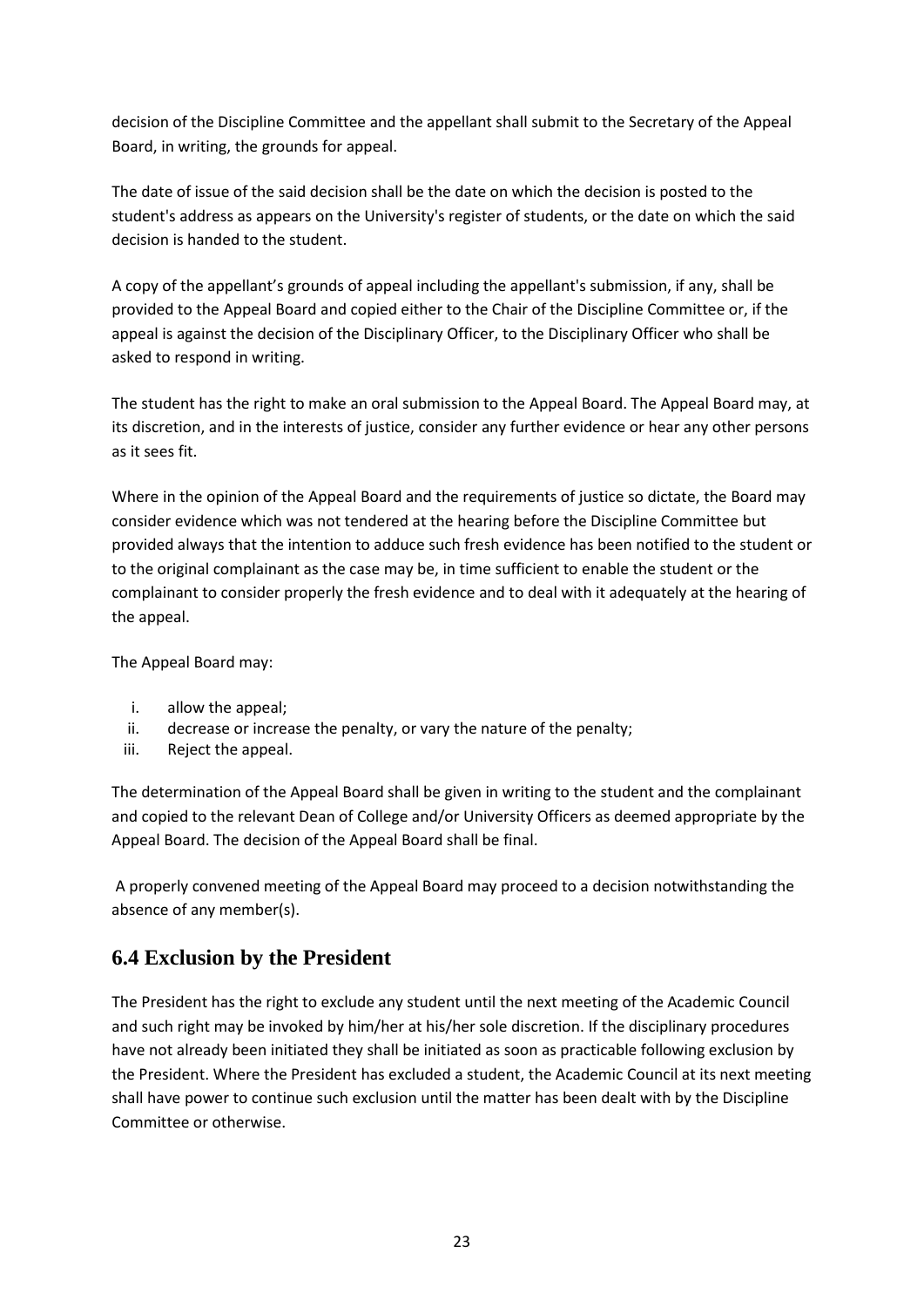decision of the Discipline Committee and the appellant shall submit to the Secretary of the Appeal Board, in writing, the grounds for appeal.

The date of issue of the said decision shall be the date on which the decision is posted to the student's address as appears on the University's register of students, or the date on which the said decision is handed to the student.

A copy of the appellant's grounds of appeal including the appellant's submission, if any, shall be provided to the Appeal Board and copied either to the Chair of the Discipline Committee or, if the appeal is against the decision of the Disciplinary Officer, to the Disciplinary Officer who shall be asked to respond in writing.

The student has the right to make an oral submission to the Appeal Board. The Appeal Board may, at its discretion, and in the interests of justice, consider any further evidence or hear any other persons as it sees fit.

Where in the opinion of the Appeal Board and the requirements of justice so dictate, the Board may consider evidence which was not tendered at the hearing before the Discipline Committee but provided always that the intention to adduce such fresh evidence has been notified to the student or to the original complainant as the case may be, in time sufficient to enable the student or the complainant to consider properly the fresh evidence and to deal with it adequately at the hearing of the appeal.

The Appeal Board may:

- i. allow the appeal;
- ii. decrease or increase the penalty, or vary the nature of the penalty;
- iii. Reject the appeal.

The determination of the Appeal Board shall be given in writing to the student and the complainant and copied to the relevant Dean of College and/or University Officers as deemed appropriate by the Appeal Board. The decision of the Appeal Board shall be final.

A properly convened meeting of the Appeal Board may proceed to a decision notwithstanding the absence of any member(s).

# **6.4 Exclusion by the President**

The President has the right to exclude any student until the next meeting of the Academic Council and such right may be invoked by him/her at his/her sole discretion. If the disciplinary procedures have not already been initiated they shall be initiated as soon as practicable following exclusion by the President. Where the President has excluded a student, the Academic Council at its next meeting shall have power to continue such exclusion until the matter has been dealt with by the Discipline Committee or otherwise.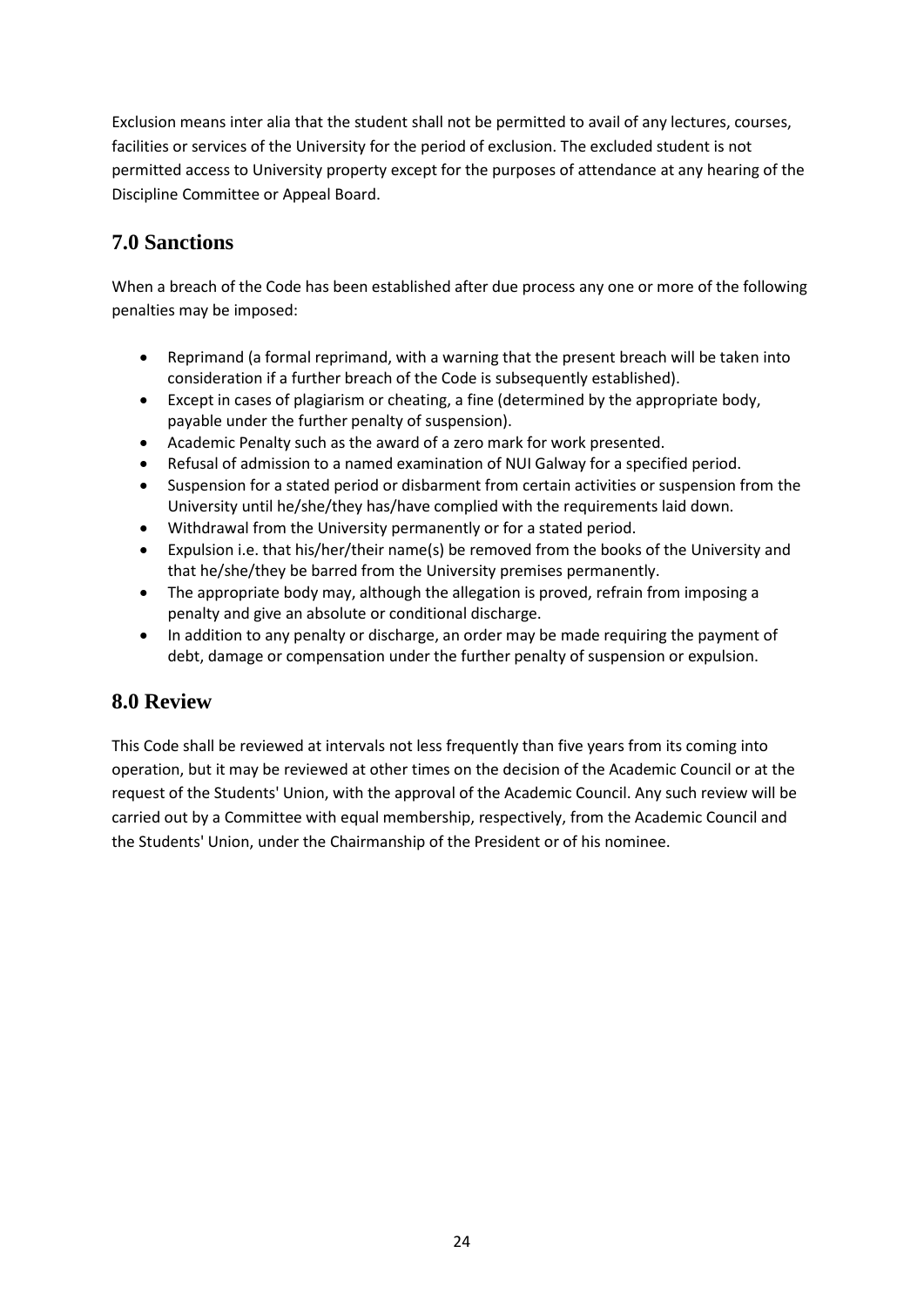Exclusion means inter alia that the student shall not be permitted to avail of any lectures, courses, facilities or services of the University for the period of exclusion. The excluded student is not permitted access to University property except for the purposes of attendance at any hearing of the Discipline Committee or Appeal Board.

# **7.0 Sanctions**

When a breach of the Code has been established after due process any one or more of the following penalties may be imposed:

- Reprimand (a formal reprimand, with a warning that the present breach will be taken into consideration if a further breach of the Code is subsequently established).
- Except in cases of plagiarism or cheating, a fine (determined by the appropriate body, payable under the further penalty of suspension).
- Academic Penalty such as the award of a zero mark for work presented.
- Refusal of admission to a named examination of NUI Galway for a specified period.
- Suspension for a stated period or disbarment from certain activities or suspension from the University until he/she/they has/have complied with the requirements laid down.
- Withdrawal from the University permanently or for a stated period.
- Expulsion i.e. that his/her/their name(s) be removed from the books of the University and that he/she/they be barred from the University premises permanently.
- The appropriate body may, although the allegation is proved, refrain from imposing a penalty and give an absolute or conditional discharge.
- In addition to any penalty or discharge, an order may be made requiring the payment of debt, damage or compensation under the further penalty of suspension or expulsion.

# **8.0 Review**

This Code shall be reviewed at intervals not less frequently than five years from its coming into operation, but it may be reviewed at other times on the decision of the Academic Council or at the request of the Students' Union, with the approval of the Academic Council. Any such review will be carried out by a Committee with equal membership, respectively, from the Academic Council and the Students' Union, under the Chairmanship of the President or of his nominee.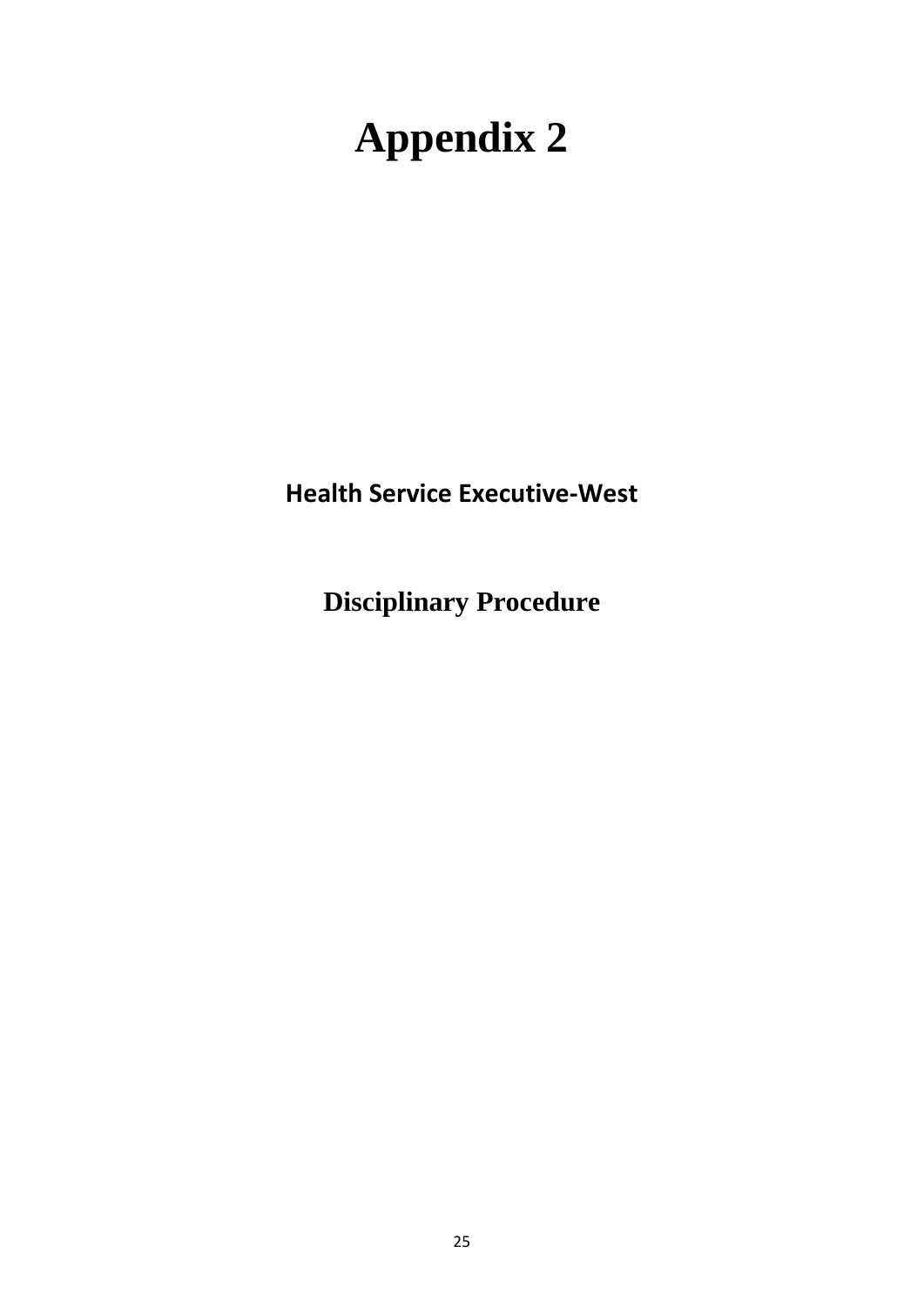# **Appendix 2**

**Health Service Executive-West**

**Disciplinary Procedure**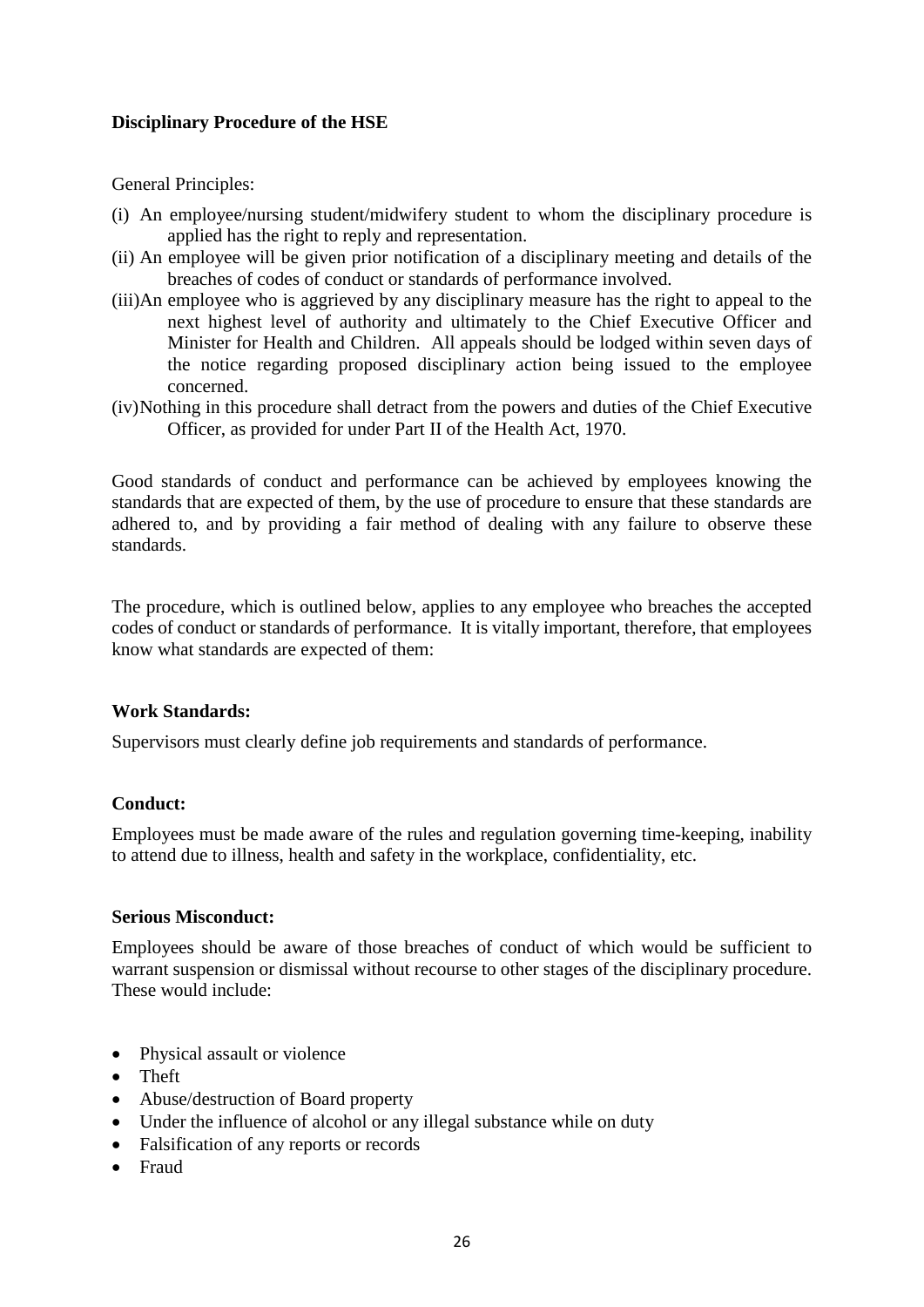# **Disciplinary Procedure of the HSE**

General Principles:

- (i) An employee/nursing student/midwifery student to whom the disciplinary procedure is applied has the right to reply and representation.
- (ii) An employee will be given prior notification of a disciplinary meeting and details of the breaches of codes of conduct or standards of performance involved.
- (iii)An employee who is aggrieved by any disciplinary measure has the right to appeal to the next highest level of authority and ultimately to the Chief Executive Officer and Minister for Health and Children. All appeals should be lodged within seven days of the notice regarding proposed disciplinary action being issued to the employee concerned.
- (iv)Nothing in this procedure shall detract from the powers and duties of the Chief Executive Officer, as provided for under Part II of the Health Act, 1970.

Good standards of conduct and performance can be achieved by employees knowing the standards that are expected of them, by the use of procedure to ensure that these standards are adhered to, and by providing a fair method of dealing with any failure to observe these standards.

The procedure, which is outlined below, applies to any employee who breaches the accepted codes of conduct or standards of performance. It is vitally important, therefore, that employees know what standards are expected of them:

# **Work Standards:**

Supervisors must clearly define job requirements and standards of performance.

# **Conduct:**

Employees must be made aware of the rules and regulation governing time-keeping, inability to attend due to illness, health and safety in the workplace, confidentiality, etc.

# **Serious Misconduct:**

Employees should be aware of those breaches of conduct of which would be sufficient to warrant suspension or dismissal without recourse to other stages of the disciplinary procedure. These would include:

- Physical assault or violence
- Theft
- Abuse/destruction of Board property
- Under the influence of alcohol or any illegal substance while on duty
- Falsification of any reports or records
- Fraud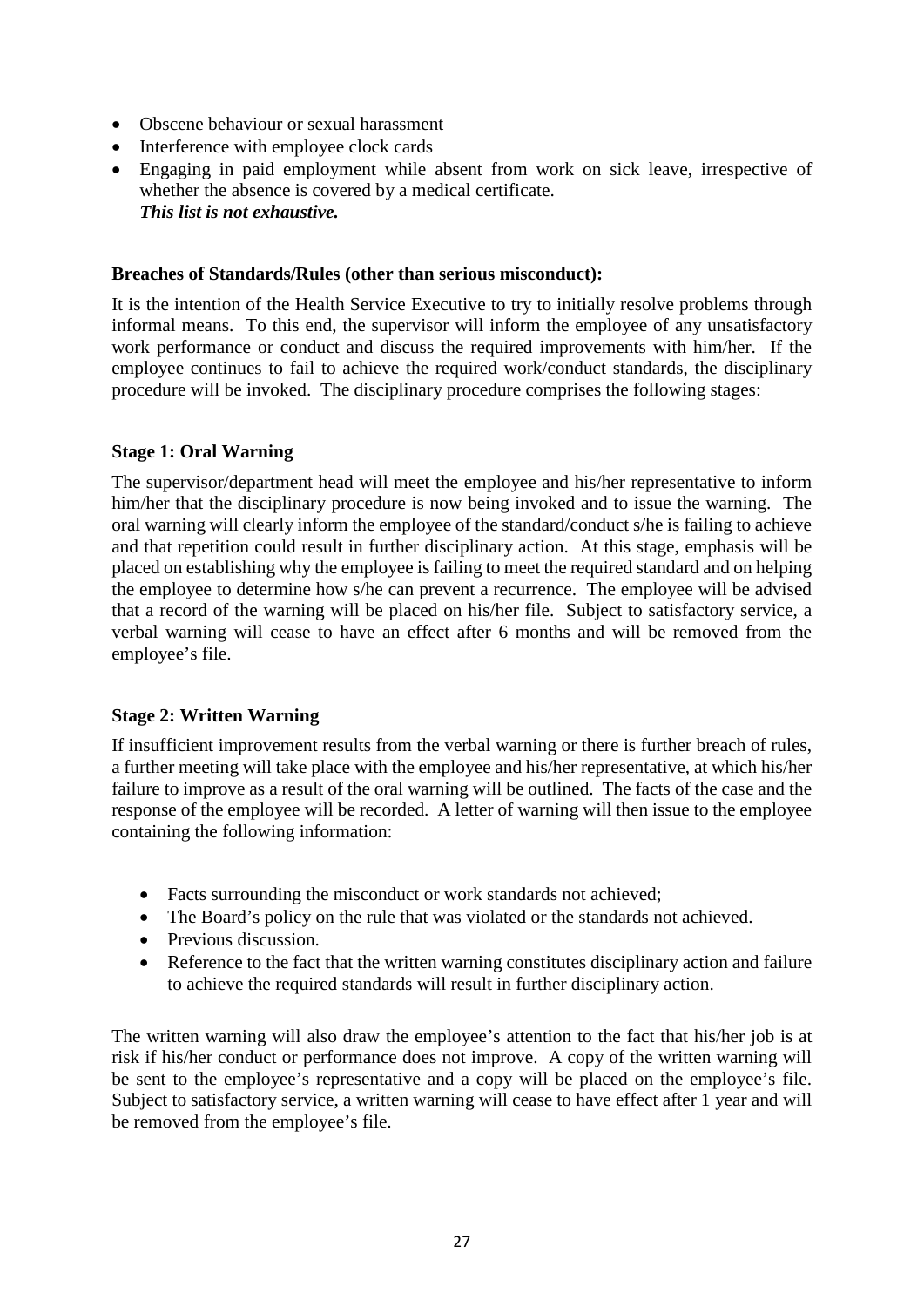- Obscene behaviour or sexual harassment
- Interference with employee clock cards
- Engaging in paid employment while absent from work on sick leave, irrespective of whether the absence is covered by a medical certificate. *This list is not exhaustive.*

# **Breaches of Standards/Rules (other than serious misconduct):**

It is the intention of the Health Service Executive to try to initially resolve problems through informal means. To this end, the supervisor will inform the employee of any unsatisfactory work performance or conduct and discuss the required improvements with him/her. If the employee continues to fail to achieve the required work/conduct standards, the disciplinary procedure will be invoked. The disciplinary procedure comprises the following stages:

# **Stage 1: Oral Warning**

The supervisor/department head will meet the employee and his/her representative to inform him/her that the disciplinary procedure is now being invoked and to issue the warning. The oral warning will clearly inform the employee of the standard/conduct s/he is failing to achieve and that repetition could result in further disciplinary action. At this stage, emphasis will be placed on establishing why the employee is failing to meet the required standard and on helping the employee to determine how s/he can prevent a recurrence. The employee will be advised that a record of the warning will be placed on his/her file. Subject to satisfactory service, a verbal warning will cease to have an effect after 6 months and will be removed from the employee's file.

# **Stage 2: Written Warning**

If insufficient improvement results from the verbal warning or there is further breach of rules, a further meeting will take place with the employee and his/her representative, at which his/her failure to improve as a result of the oral warning will be outlined. The facts of the case and the response of the employee will be recorded. A letter of warning will then issue to the employee containing the following information:

- Facts surrounding the misconduct or work standards not achieved;
- The Board's policy on the rule that was violated or the standards not achieved.
- Previous discussion.
- Reference to the fact that the written warning constitutes disciplinary action and failure to achieve the required standards will result in further disciplinary action.

The written warning will also draw the employee's attention to the fact that his/her job is at risk if his/her conduct or performance does not improve. A copy of the written warning will be sent to the employee's representative and a copy will be placed on the employee's file. Subject to satisfactory service, a written warning will cease to have effect after 1 year and will be removed from the employee's file.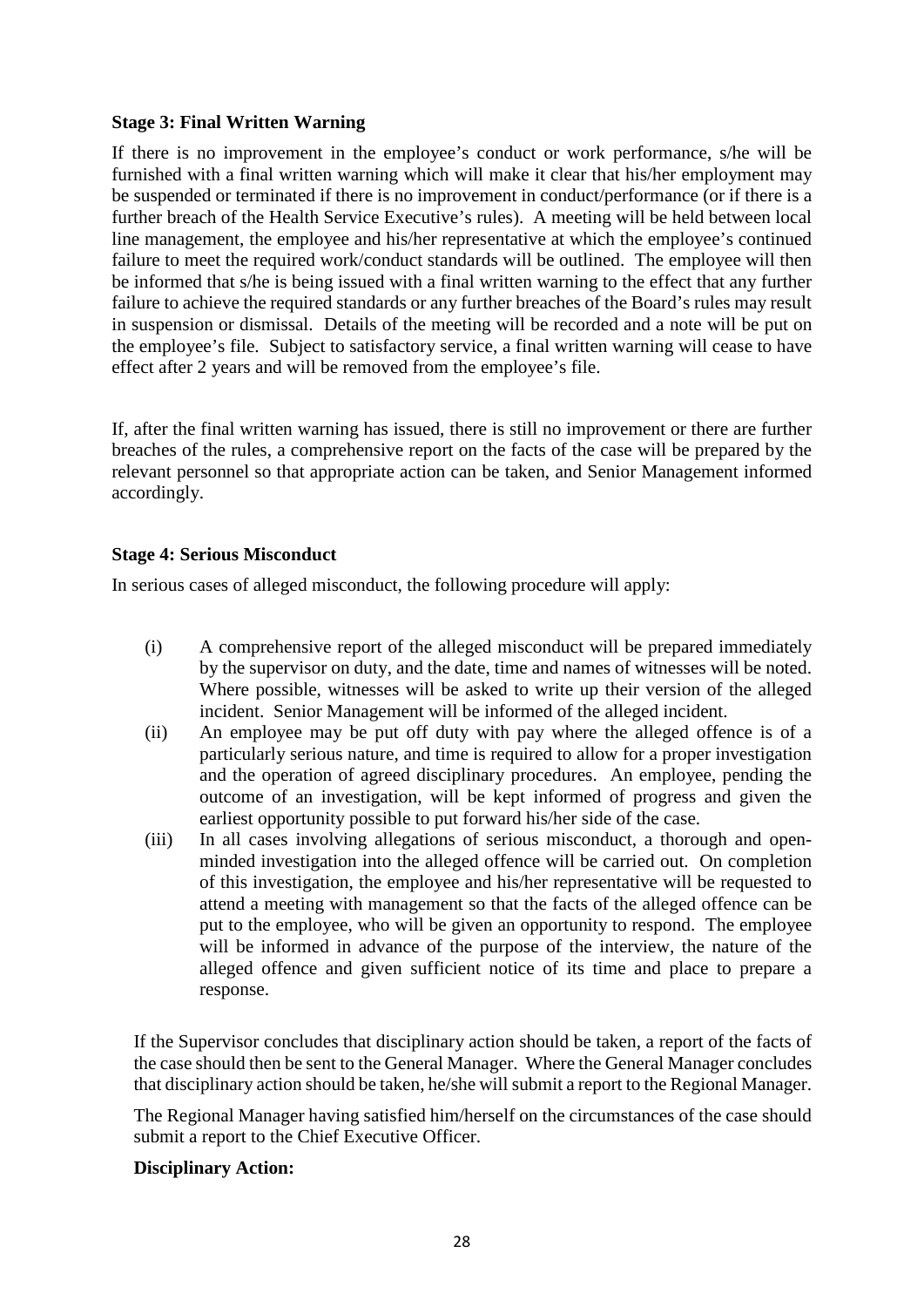# **Stage 3: Final Written Warning**

If there is no improvement in the employee's conduct or work performance, s/he will be furnished with a final written warning which will make it clear that his/her employment may be suspended or terminated if there is no improvement in conduct/performance (or if there is a further breach of the Health Service Executive's rules). A meeting will be held between local line management, the employee and his/her representative at which the employee's continued failure to meet the required work/conduct standards will be outlined. The employee will then be informed that s/he is being issued with a final written warning to the effect that any further failure to achieve the required standards or any further breaches of the Board's rules may result in suspension or dismissal. Details of the meeting will be recorded and a note will be put on the employee's file. Subject to satisfactory service, a final written warning will cease to have effect after 2 years and will be removed from the employee's file.

If, after the final written warning has issued, there is still no improvement or there are further breaches of the rules, a comprehensive report on the facts of the case will be prepared by the relevant personnel so that appropriate action can be taken, and Senior Management informed accordingly.

# **Stage 4: Serious Misconduct**

In serious cases of alleged misconduct, the following procedure will apply:

- (i) A comprehensive report of the alleged misconduct will be prepared immediately by the supervisor on duty, and the date, time and names of witnesses will be noted. Where possible, witnesses will be asked to write up their version of the alleged incident. Senior Management will be informed of the alleged incident.
- (ii) An employee may be put off duty with pay where the alleged offence is of a particularly serious nature, and time is required to allow for a proper investigation and the operation of agreed disciplinary procedures. An employee, pending the outcome of an investigation, will be kept informed of progress and given the earliest opportunity possible to put forward his/her side of the case.
- (iii) In all cases involving allegations of serious misconduct, a thorough and openminded investigation into the alleged offence will be carried out. On completion of this investigation, the employee and his/her representative will be requested to attend a meeting with management so that the facts of the alleged offence can be put to the employee, who will be given an opportunity to respond. The employee will be informed in advance of the purpose of the interview, the nature of the alleged offence and given sufficient notice of its time and place to prepare a response.

If the Supervisor concludes that disciplinary action should be taken, a report of the facts of the case should then be sent to the General Manager. Where the General Manager concludes that disciplinary action should be taken, he/she will submit a report to the Regional Manager.

The Regional Manager having satisfied him/herself on the circumstances of the case should submit a report to the Chief Executive Officer.

# **Disciplinary Action:**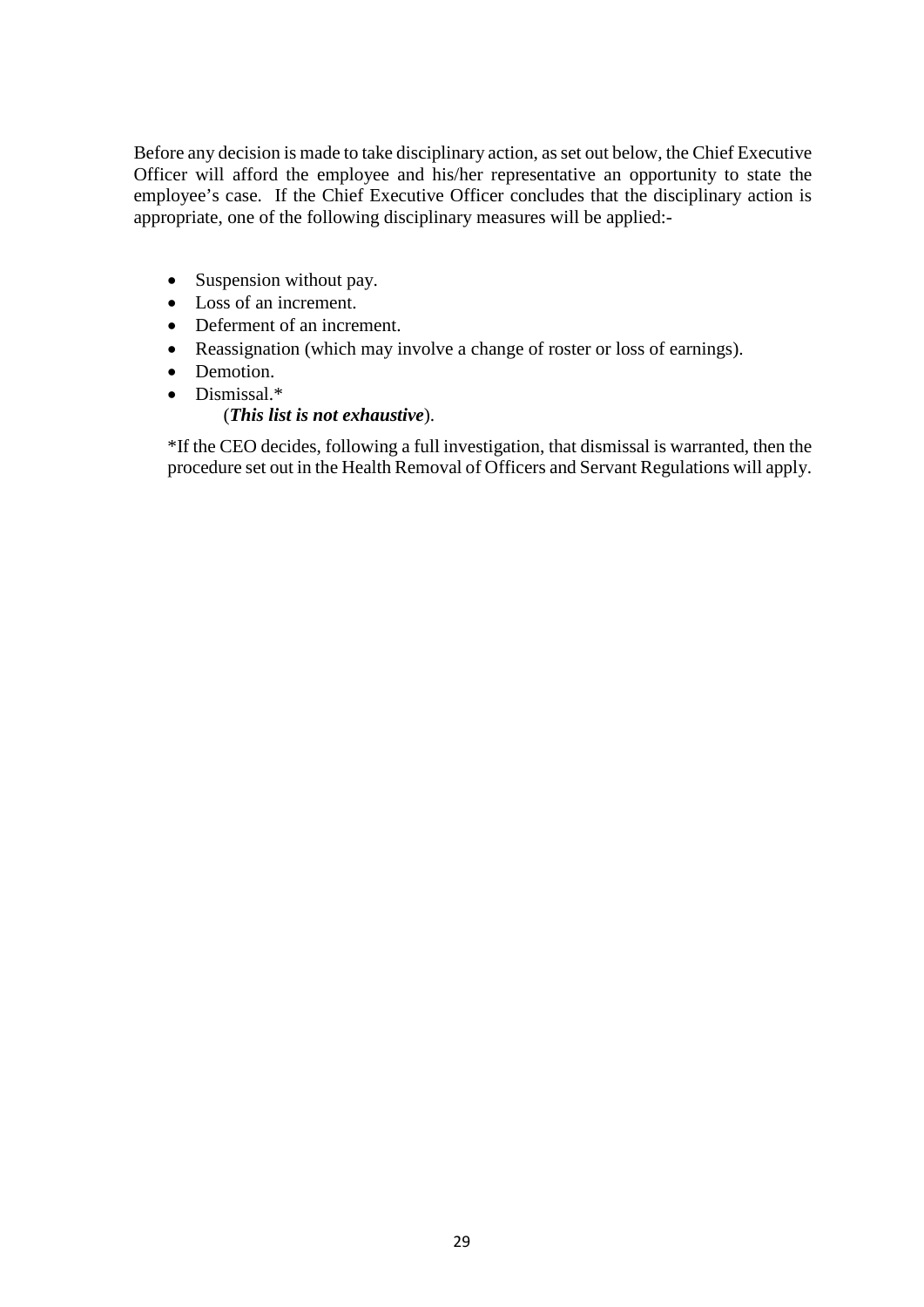Before any decision is made to take disciplinary action, as set out below, the Chief Executive Officer will afford the employee and his/her representative an opportunity to state the employee's case. If the Chief Executive Officer concludes that the disciplinary action is appropriate, one of the following disciplinary measures will be applied:-

- Suspension without pay.
- Loss of an increment.
- Deferment of an increment.
- Reassignation (which may involve a change of roster or loss of earnings).
- Demotion.
- Dismissal.\*

# (*This list is not exhaustive*).

\*If the CEO decides, following a full investigation, that dismissal is warranted, then the procedure set out in the Health Removal of Officers and Servant Regulations will apply.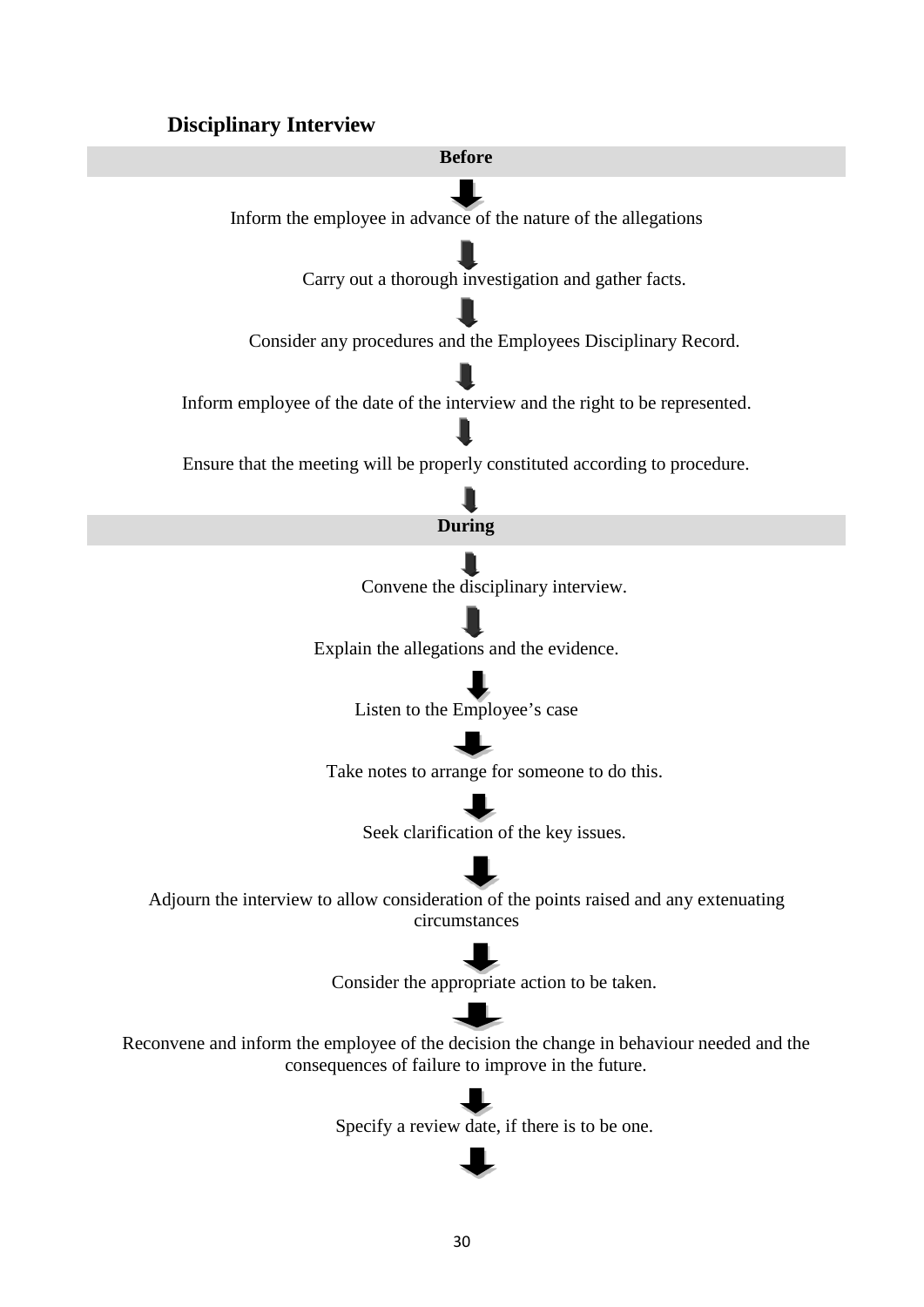# **Disciplinary Interview**

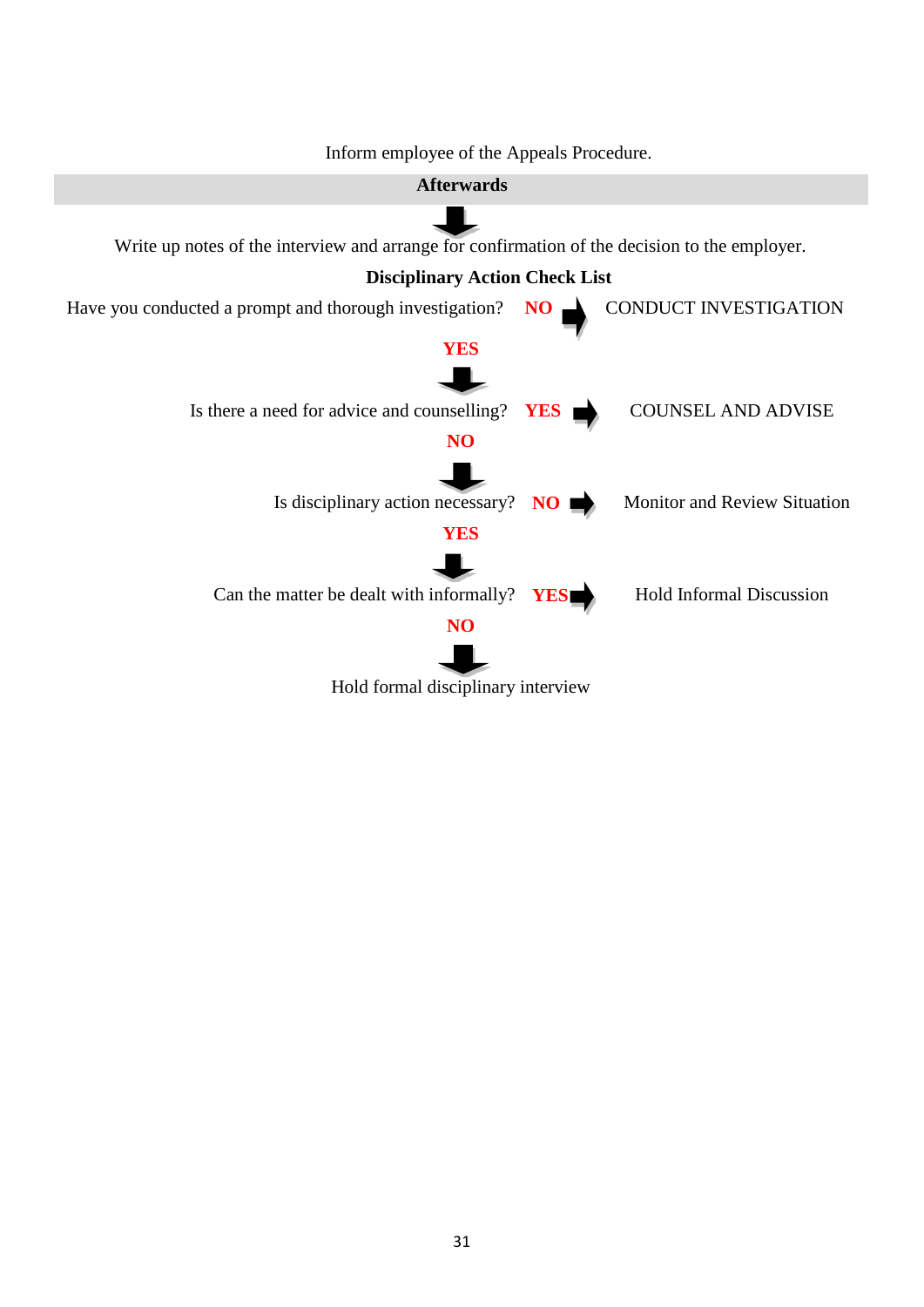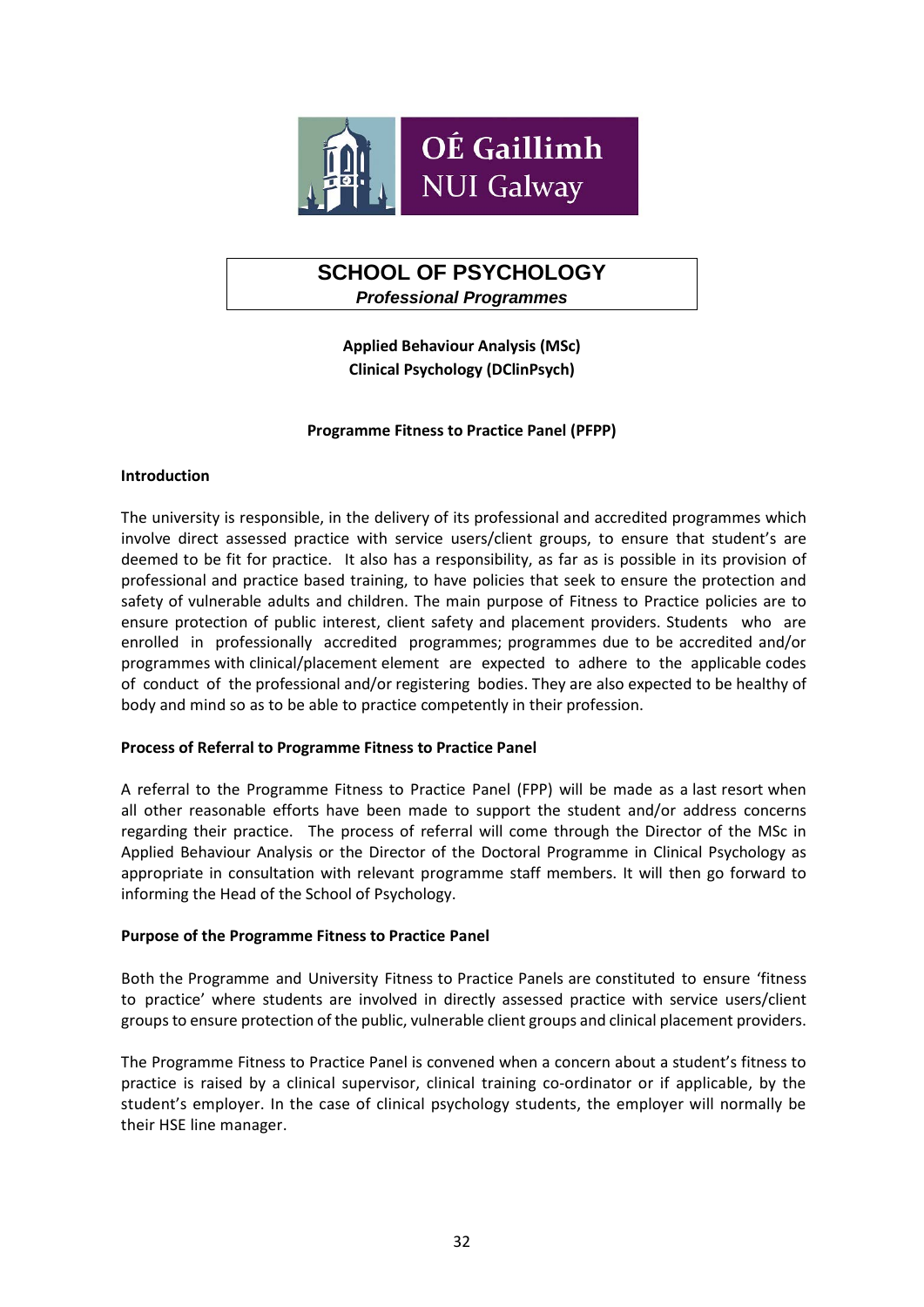

# **SCHOOL OF PSYCHOLOGY** *Professional Programmes*

**Applied Behaviour Analysis (MSc) Clinical Psychology (DClinPsych)**

## **Programme Fitness to Practice Panel (PFPP)**

#### **Introduction**

The university is responsible, in the delivery of its professional and accredited programmes which involve direct assessed practice with service users/client groups, to ensure that student's are deemed to be fit for practice. It also has a responsibility, as far as is possible in its provision of professional and practice based training, to have policies that seek to ensure the protection and safety of vulnerable adults and children. The main purpose of Fitness to Practice policies are to ensure protection of public interest, client safety and placement providers. Students who are enrolled in professionally accredited programmes; programmes due to be accredited and/or programmes with clinical/placement element are expected to adhere to the applicable codes of conduct of the professional and/or registering bodies. They are also expected to be healthy of body and mind so as to be able to practice competently in their profession.

#### **Process of Referral to Programme Fitness to Practice Panel**

A referral to the Programme Fitness to Practice Panel (FPP) will be made as a last resort when all other reasonable efforts have been made to support the student and/or address concerns regarding their practice. The process of referral will come through the Director of the MSc in Applied Behaviour Analysis or the Director of the Doctoral Programme in Clinical Psychology as appropriate in consultation with relevant programme staff members. It will then go forward to informing the Head of the School of Psychology.

#### **Purpose of the Programme Fitness to Practice Panel**

Both the Programme and University Fitness to Practice Panels are constituted to ensure 'fitness to practice' where students are involved in directly assessed practice with service users/client groups to ensure protection of the public, vulnerable client groups and clinical placement providers.

The Programme Fitness to Practice Panel is convened when a concern about a student's fitness to practice is raised by a clinical supervisor, clinical training co-ordinator or if applicable, by the student's employer. In the case of clinical psychology students, the employer will normally be their HSE line manager.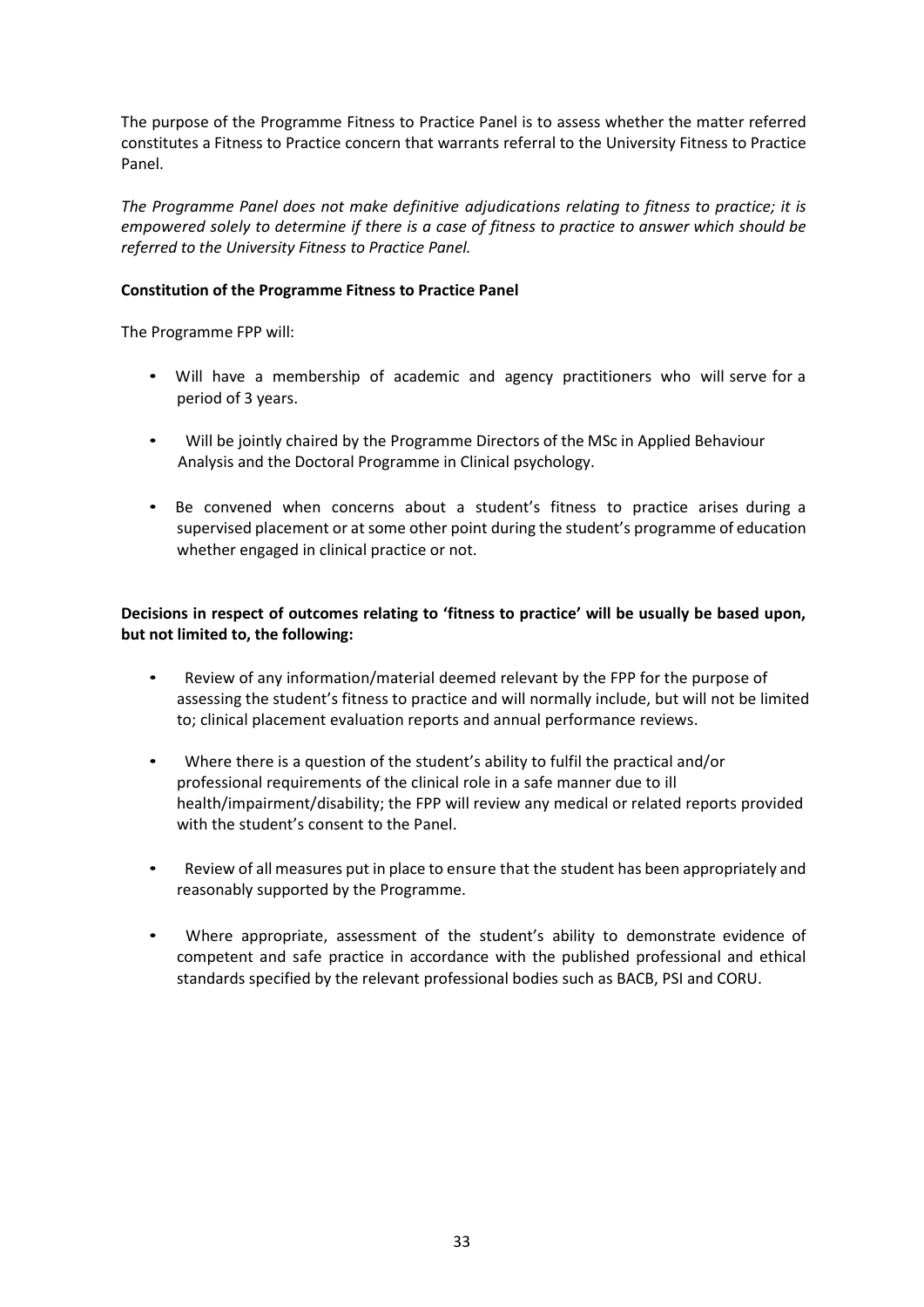The purpose of the Programme Fitness to Practice Panel is to assess whether the matter referred constitutes a Fitness to Practice concern that warrants referral to the University Fitness to Practice Panel.

*The Programme Panel does not make definitive adjudications relating to fitness to practice; it is empowered solely to determine if there is a case of fitness to practice to answer which should be referred to the University Fitness to Practice Panel.*

# **Constitution of the Programme Fitness to Practice Panel**

The Programme FPP will:

- Will have a membership of academic and agency practitioners who will serve for a period of 3 years.
- Will be jointly chaired by the Programme Directors of the MSc in Applied Behaviour Analysis and the Doctoral Programme in Clinical psychology.
- Be convened when concerns about a student's fitness to practice arises during a supervised placement or at some other point during the student's programme of education whether engaged in clinical practice or not.

**Decisions in respect of outcomes relating to 'fitness to practice' will be usually be based upon, but not limited to, the following:**

- Review of any information/material deemed relevant by the FPP for the purpose of assessing the student's fitness to practice and will normally include, but will not be limited to; clinical placement evaluation reports and annual performance reviews.
- Where there is a question of the student's ability to fulfil the practical and/or professional requirements of the clinical role in a safe manner due to ill health/impairment/disability; the FPP will review any medical or related reports provided with the student's consent to the Panel.
- Review of all measures put in place to ensure that the student has been appropriately and reasonably supported by the Programme.
- Where appropriate, assessment of the student's ability to demonstrate evidence of competent and safe practice in accordance with the published professional and ethical standards specified by the relevant professional bodies such as BACB, PSI and CORU.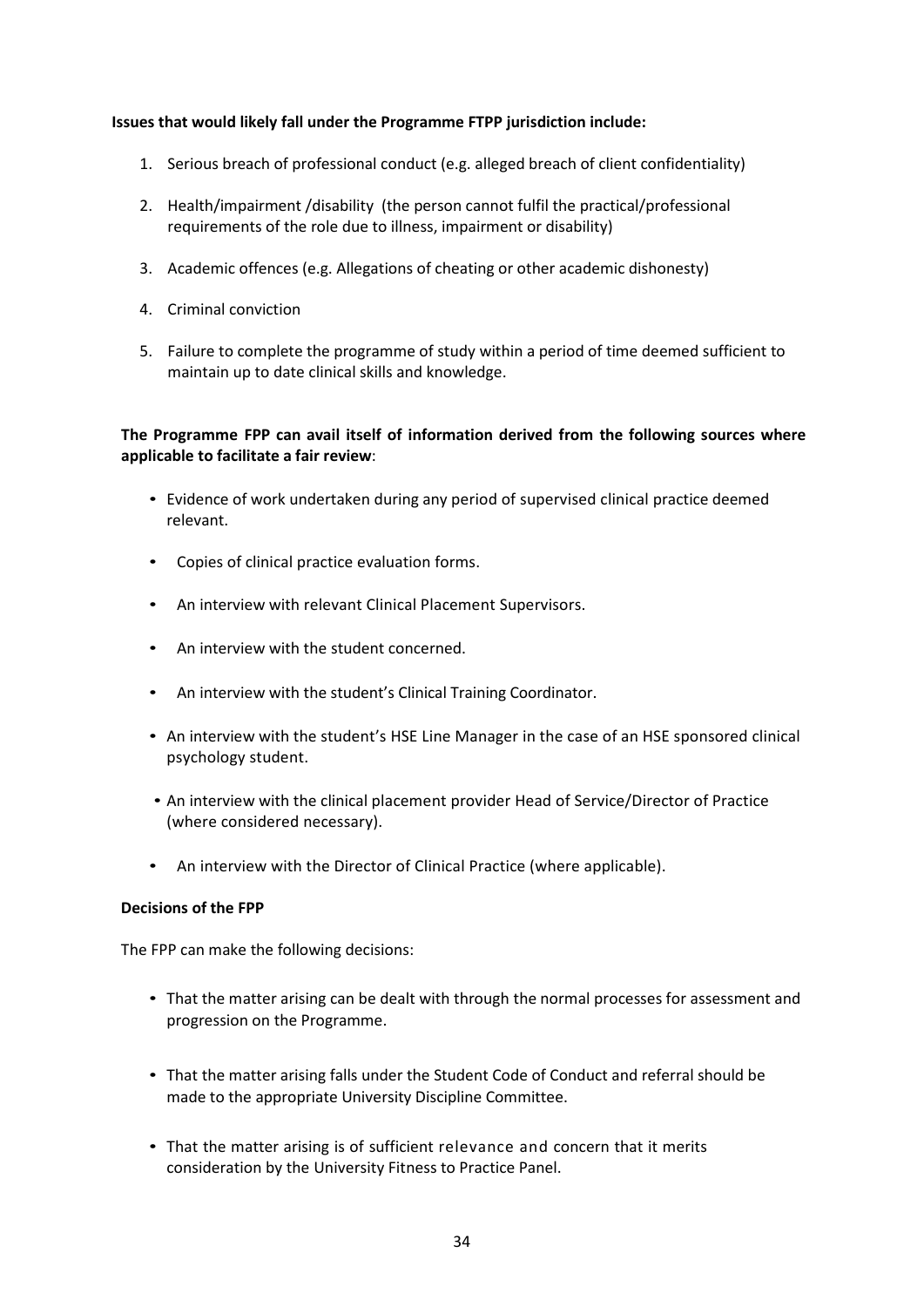### **Issues that would likely fall under the Programme FTPP jurisdiction include:**

- 1. Serious breach of professional conduct (e.g. alleged breach of client confidentiality)
- 2. Health/impairment /disability (the person cannot fulfil the practical/professional requirements of the role due to illness, impairment or disability)
- 3. Academic offences (e.g. Allegations of cheating or other academic dishonesty)
- 4. Criminal conviction
- 5. Failure to complete the programme of study within a period of time deemed sufficient to maintain up to date clinical skills and knowledge.

# **The Programme FPP can avail itself of information derived from the following sources where applicable to facilitate a fair review**:

- Evidence of work undertaken during any period of supervised clinical practice deemed relevant.
- Copies of clinical practice evaluation forms.
- An interview with relevant Clinical Placement Supervisors.
- An interview with the student concerned.
- An interview with the student's Clinical Training Coordinator.
- An interview with the student's HSE Line Manager in the case of an HSE sponsored clinical psychology student.
- An interview with the clinical placement provider Head of Service/Director of Practice (where considered necessary).
- An interview with the Director of Clinical Practice (where applicable).

#### **Decisions of the FPP**

The FPP can make the following decisions:

- That the matter arising can be dealt with through the normal processes for assessment and progression on the Programme.
- That the matter arising falls under the Student Code of Conduct and referral should be made to the appropriate University Discipline Committee.
- That the matter arising is of sufficient relevance and concern that it merits consideration by the University Fitness to Practice Panel.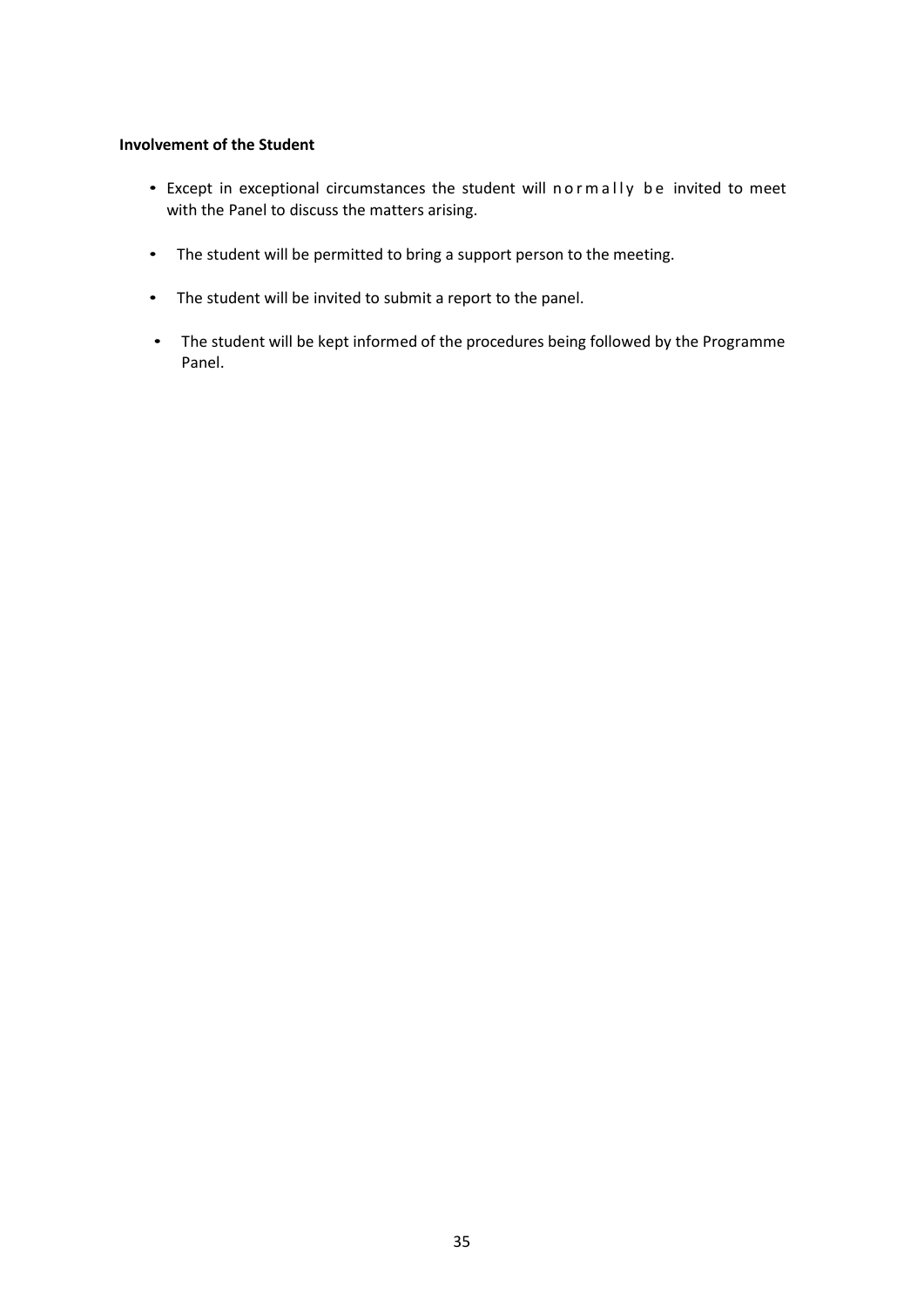## **Involvement of the Student**

- Except in exceptional circumstances the student will normally be invited to meet with the Panel to discuss the matters arising.
- The student will be permitted to bring a support person to the meeting.
- The student will be invited to submit a report to the panel.
- The student will be kept informed of the procedures being followed by the Programme Panel.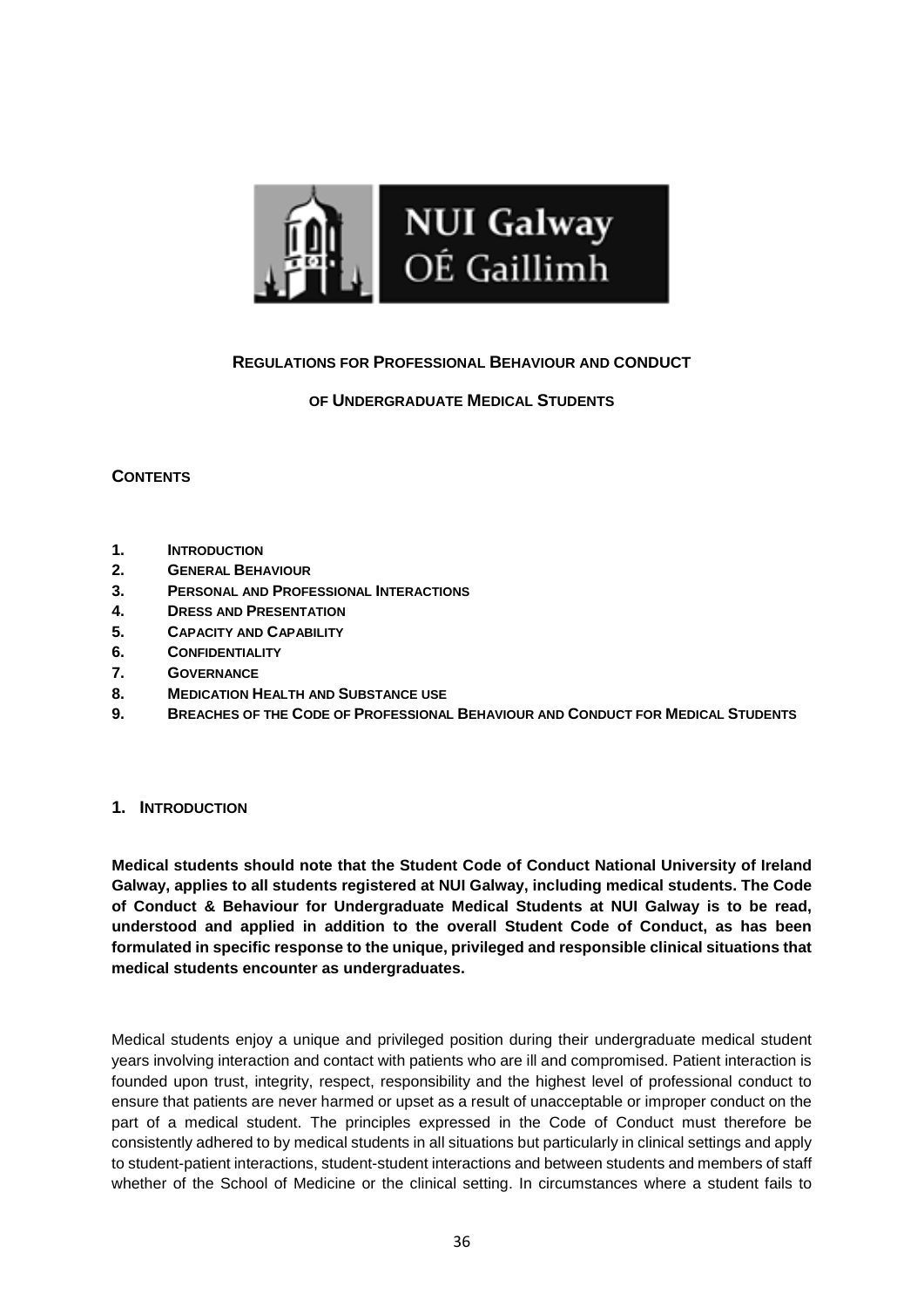

# **REGULATIONS FOR PROFESSIONAL BEHAVIOUR AND CONDUCT**

# **OF UNDERGRADUATE MEDICAL STUDENTS**

# **CONTENTS**

- **1. INTRODUCTION**
- **2. GENERAL BEHAVIOUR**
- **3. PERSONAL AND PROFESSIONAL INTERACTIONS**
- **4. DRESS AND PRESENTATION**
- **5. CAPACITY AND CAPABILITY**
- **6. CONFIDENTIALITY**
- **7. GOVERNANCE**
- **8. MEDICATION HEALTH AND SUBSTANCE USE**
- **9. BREACHES OF THE CODE OF PROFESSIONAL BEHAVIOUR AND CONDUCT FOR MEDICAL STUDENTS**

#### **1. INTRODUCTION**

**Medical students should note that the Student Code of Conduct National University of Ireland Galway, applies to all students registered at NUI Galway, including medical students. The Code of Conduct & Behaviour for Undergraduate Medical Students at NUI Galway is to be read, understood and applied in addition to the overall Student Code of Conduct, as has been formulated in specific response to the unique, privileged and responsible clinical situations that medical students encounter as undergraduates.**

Medical students enjoy a unique and privileged position during their undergraduate medical student years involving interaction and contact with patients who are ill and compromised. Patient interaction is founded upon trust, integrity, respect, responsibility and the highest level of professional conduct to ensure that patients are never harmed or upset as a result of unacceptable or improper conduct on the part of a medical student. The principles expressed in the Code of Conduct must therefore be consistently adhered to by medical students in all situations but particularly in clinical settings and apply to student-patient interactions, student-student interactions and between students and members of staff whether of the School of Medicine or the clinical setting. In circumstances where a student fails to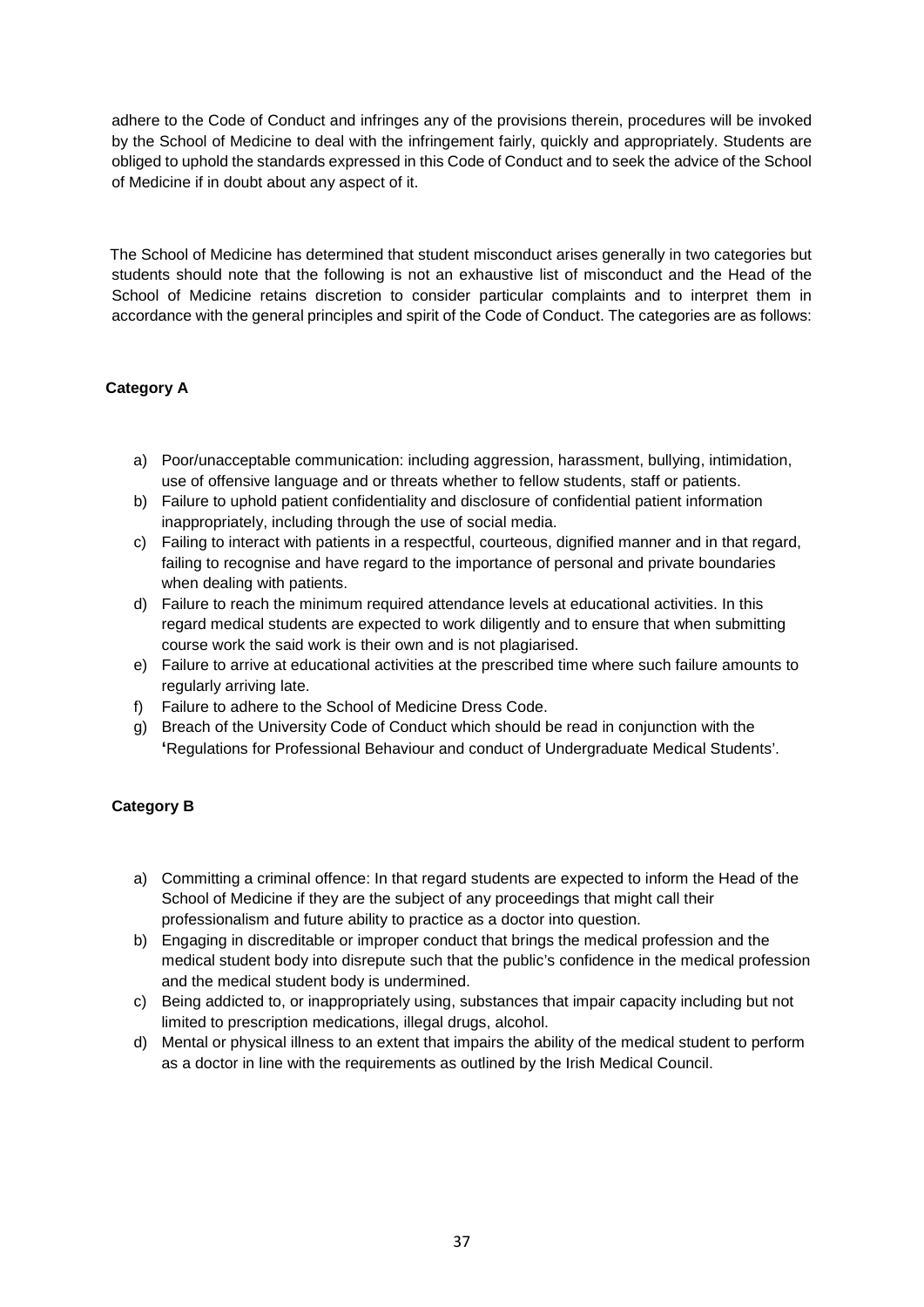adhere to the Code of Conduct and infringes any of the provisions therein, procedures will be invoked by the School of Medicine to deal with the infringement fairly, quickly and appropriately. Students are obliged to uphold the standards expressed in this Code of Conduct and to seek the advice of the School of Medicine if in doubt about any aspect of it.

The School of Medicine has determined that student misconduct arises generally in two categories but students should note that the following is not an exhaustive list of misconduct and the Head of the School of Medicine retains discretion to consider particular complaints and to interpret them in accordance with the general principles and spirit of the Code of Conduct. The categories are as follows:

# **Category A**

- a) Poor/unacceptable communication: including aggression, harassment, bullying, intimidation, use of offensive language and or threats whether to fellow students, staff or patients.
- b) Failure to uphold patient confidentiality and disclosure of confidential patient information inappropriately, including through the use of social media.
- c) Failing to interact with patients in a respectful, courteous, dignified manner and in that regard, failing to recognise and have regard to the importance of personal and private boundaries when dealing with patients.
- d) Failure to reach the minimum required attendance levels at educational activities. In this regard medical students are expected to work diligently and to ensure that when submitting course work the said work is their own and is not plagiarised.
- e) Failure to arrive at educational activities at the prescribed time where such failure amounts to regularly arriving late.
- f) Failure to adhere to the School of Medicine Dress Code.
- g) Breach of the University Code of Conduct which should be read in conjunction with the **'**Regulations for Professional Behaviour and conduct of Undergraduate Medical Students'.

# **Category B**

- a) Committing a criminal offence: In that regard students are expected to inform the Head of the School of Medicine if they are the subject of any proceedings that might call their professionalism and future ability to practice as a doctor into question.
- b) Engaging in discreditable or improper conduct that brings the medical profession and the medical student body into disrepute such that the public's confidence in the medical profession and the medical student body is undermined.
- c) Being addicted to, or inappropriately using, substances that impair capacity including but not limited to prescription medications, illegal drugs, alcohol.
- d) Mental or physical illness to an extent that impairs the ability of the medical student to perform as a doctor in line with the requirements as outlined by the Irish Medical Council.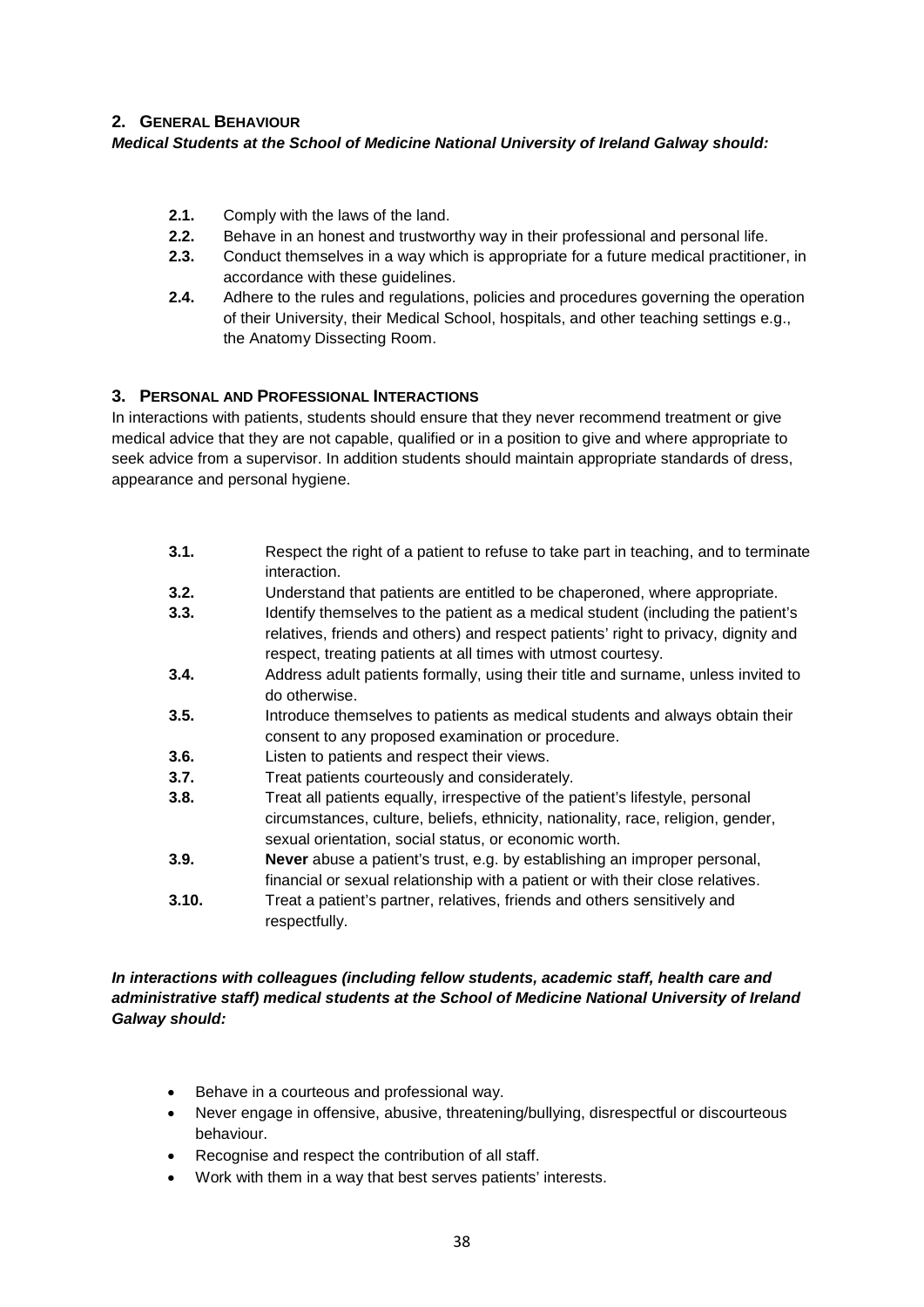# **2. GENERAL BEHAVIOUR**

## *Medical Students at the School of Medicine National University of Ireland Galway should:*

- **2.1.** Comply with the laws of the land.
- **2.2.** Behave in an honest and trustworthy way in their professional and personal life.
- **2.3.** Conduct themselves in a way which is appropriate for a future medical practitioner, in accordance with these guidelines.
- **2.4.** Adhere to the rules and regulations, policies and procedures governing the operation of their University, their Medical School, hospitals, and other teaching settings e.g., the Anatomy Dissecting Room.

# **3. PERSONAL AND PROFESSIONAL INTERACTIONS**

In interactions with patients, students should ensure that they never recommend treatment or give medical advice that they are not capable, qualified or in a position to give and where appropriate to seek advice from a supervisor. In addition students should maintain appropriate standards of dress, appearance and personal hygiene.

- **3.1.** Respect the right of a patient to refuse to take part in teaching, and to terminate interaction.
- **3.2.** Understand that patients are entitled to be chaperoned, where appropriate.
- **3.3.** Identify themselves to the patient as a medical student (including the patient's relatives, friends and others) and respect patients' right to privacy, dignity and respect, treating patients at all times with utmost courtesy.
- **3.4.** Address adult patients formally, using their title and surname, unless invited to do otherwise.
- **3.5.** Introduce themselves to patients as medical students and always obtain their consent to any proposed examination or procedure.
- **3.6.** Listen to patients and respect their views.
- **3.7.** Treat patients courteously and considerately.
- **3.8.** Treat all patients equally, irrespective of the patient's lifestyle, personal circumstances, culture, beliefs, ethnicity, nationality, race, religion, gender, sexual orientation, social status, or economic worth.
- **3.9. Never** abuse a patient's trust, e.g. by establishing an improper personal, financial or sexual relationship with a patient or with their close relatives.
- **3.10.** Treat a patient's partner, relatives, friends and others sensitively and respectfully.

*In interactions with colleagues (including fellow students, academic staff, health care and administrative staff) medical students at the School of Medicine National University of Ireland Galway should:* 

- Behave in a courteous and professional way.
- Never engage in offensive, abusive, threatening/bullying, disrespectful or discourteous behaviour.
- Recognise and respect the contribution of all staff.
- Work with them in a way that best serves patients' interests.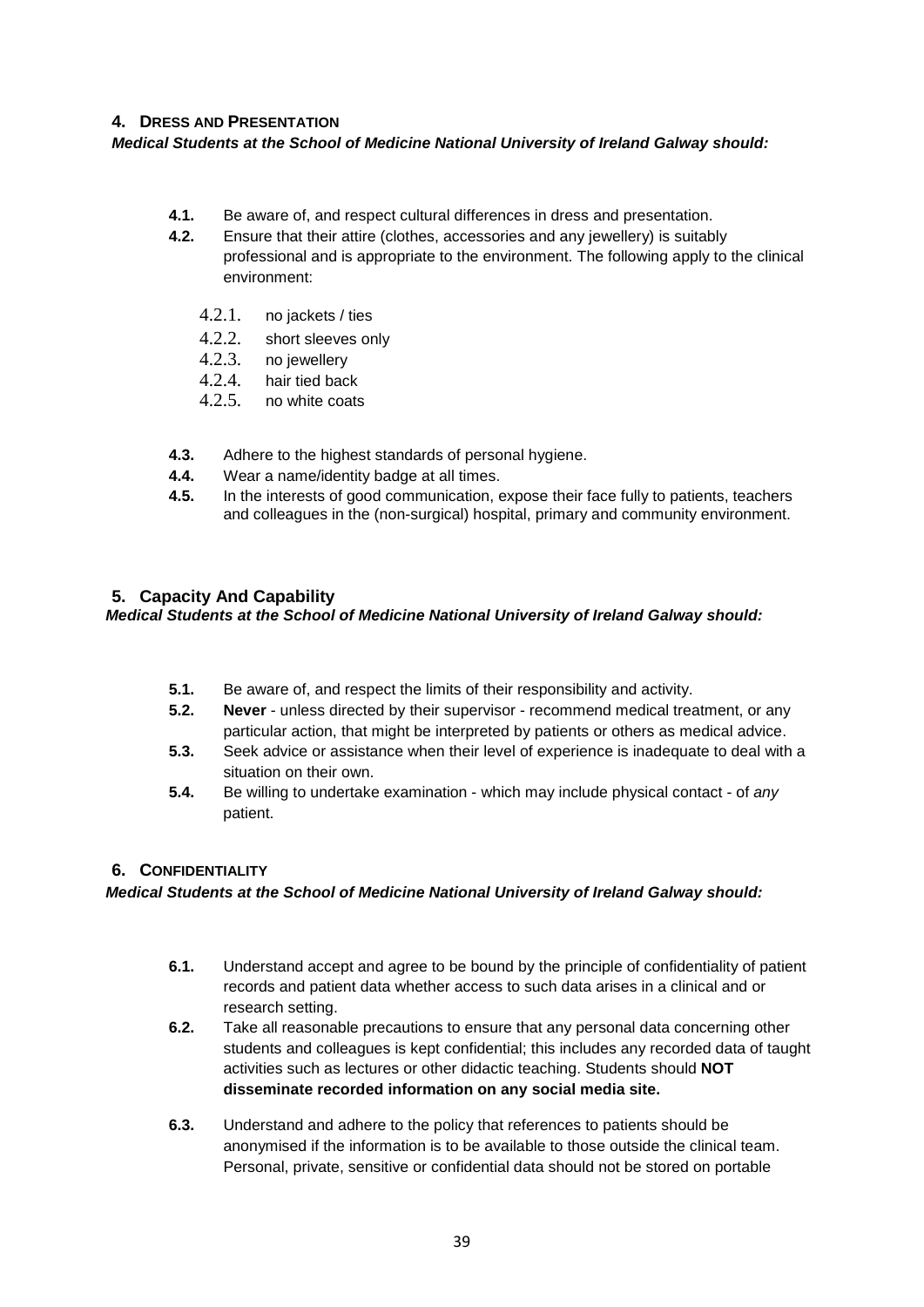# **4. DRESS AND PRESENTATION**

*Medical Students at the School of Medicine National University of Ireland Galway should:*

- **4.1.** Be aware of, and respect cultural differences in dress and presentation.
- **4.2.** Ensure that their attire (clothes, accessories and any jewellery) is suitably professional and is appropriate to the environment. The following apply to the clinical environment:
	- 4.2.1. no jackets / ties
	- 4.2.2. short sleeves only<br>4.2.3. no iewellery
	- no jewellery
	- 4.2.4. hair tied back
	- 4.2.5. no white coats
- **4.3.** Adhere to the highest standards of personal hygiene.
- **4.4.** Wear a name/identity badge at all times.
- **4.5.** In the interests of good communication, expose their face fully to patients, teachers and colleagues in the (non-surgical) hospital, primary and community environment.

# **5. Capacity And Capability**

*Medical Students at the School of Medicine National University of Ireland Galway should:* 

- **5.1.** Be aware of, and respect the limits of their responsibility and activity.
- **5.2. Never**  unless directed by their supervisor recommend medical treatment, or any particular action, that might be interpreted by patients or others as medical advice.
- **5.3.** Seek advice or assistance when their level of experience is inadequate to deal with a situation on their own.
- **5.4.** Be willing to undertake examination which may include physical contact of *any*  patient.

# **6. CONFIDENTIALITY**

*Medical Students at the School of Medicine National University of Ireland Galway should:* 

- **6.1.** Understand accept and agree to be bound by the principle of confidentiality of patient records and patient data whether access to such data arises in a clinical and or research setting.
- **6.2.** Take all reasonable precautions to ensure that any personal data concerning other students and colleagues is kept confidential; this includes any recorded data of taught activities such as lectures or other didactic teaching. Students should **NOT disseminate recorded information on any social media site.**
- **6.3.** Understand and adhere to the policy that references to patients should be anonymised if the information is to be available to those outside the clinical team. Personal, private, sensitive or confidential data should not be stored on portable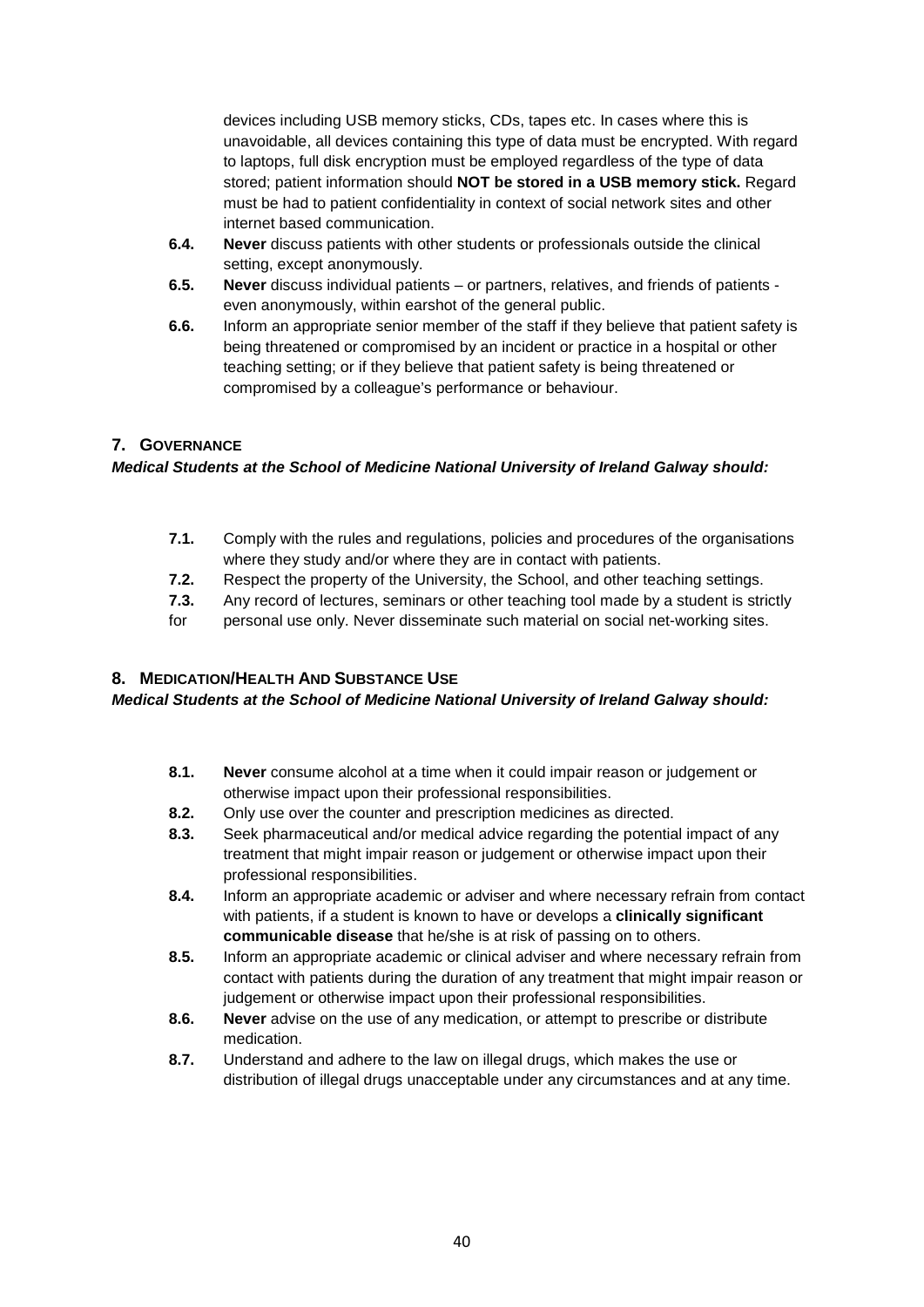devices including USB memory sticks, CDs, tapes etc. In cases where this is unavoidable, all devices containing this type of data must be encrypted. With regard to laptops, full disk encryption must be employed regardless of the type of data stored; patient information should **NOT be stored in a USB memory stick.** Regard must be had to patient confidentiality in context of social network sites and other internet based communication.

- **6.4. Never** discuss patients with other students or professionals outside the clinical setting, except anonymously.
- **6.5. Never** discuss individual patients or partners, relatives, and friends of patients even anonymously, within earshot of the general public.
- **6.6.** Inform an appropriate senior member of the staff if they believe that patient safety is being threatened or compromised by an incident or practice in a hospital or other teaching setting; or if they believe that patient safety is being threatened or compromised by a colleague's performance or behaviour.

# **7. GOVERNANCE**

# *Medical Students at the School of Medicine National University of Ireland Galway should:*

- **7.1.** Comply with the rules and regulations, policies and procedures of the organisations where they study and/or where they are in contact with patients.
- **7.2.** Respect the property of the University, the School, and other teaching settings.
- **7.3.** Any record of lectures, seminars or other teaching tool made by a student is strictly
- for personal use only. Never disseminate such material on social net-working sites.

# **8. MEDICATION/HEALTH AND SUBSTANCE USE**

#### *Medical Students at the School of Medicine National University of Ireland Galway should:*

- **8.1. Never** consume alcohol at a time when it could impair reason or judgement or otherwise impact upon their professional responsibilities.
- **8.2.** Only use over the counter and prescription medicines as directed.
- **8.3.** Seek pharmaceutical and/or medical advice regarding the potential impact of any treatment that might impair reason or judgement or otherwise impact upon their professional responsibilities.
- **8.4.** Inform an appropriate academic or adviser and where necessary refrain from contact with patients, if a student is known to have or develops a **clinically significant communicable disease** that he/she is at risk of passing on to others.
- **8.5.** Inform an appropriate academic or clinical adviser and where necessary refrain from contact with patients during the duration of any treatment that might impair reason or judgement or otherwise impact upon their professional responsibilities.
- **8.6. Never** advise on the use of any medication, or attempt to prescribe or distribute medication.
- **8.7.** Understand and adhere to the law on illegal drugs, which makes the use or distribution of illegal drugs unacceptable under any circumstances and at any time.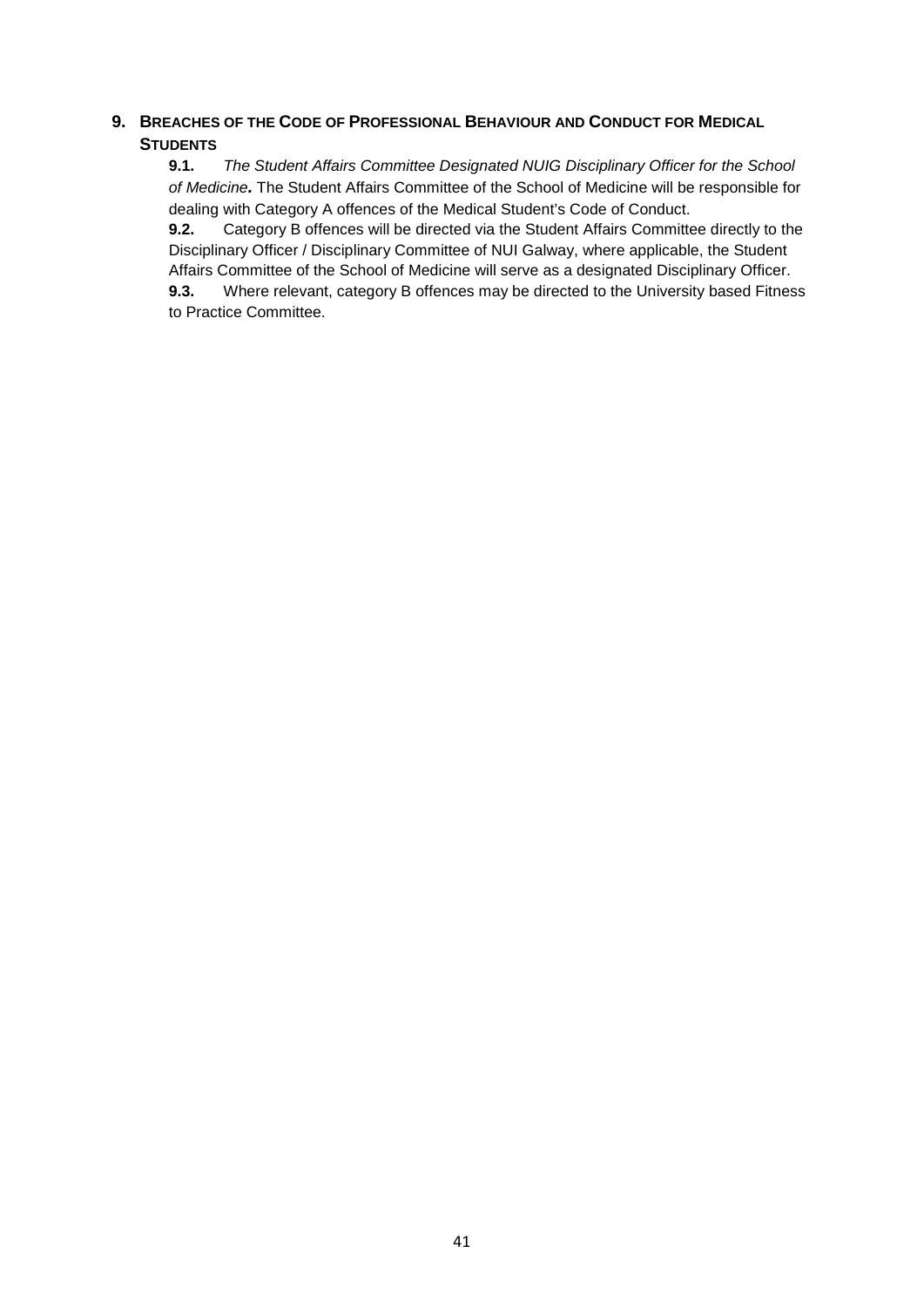# **9. BREACHES OF THE CODE OF PROFESSIONAL BEHAVIOUR AND CONDUCT FOR MEDICAL STUDENTS**

**9.1.** *The Student Affairs Committee Designated NUIG Disciplinary Officer for the School of Medicine.* The Student Affairs Committee of the School of Medicine will be responsible for dealing with Category A offences of the Medical Student's Code of Conduct.

**9.2.** Category B offences will be directed via the Student Affairs Committee directly to the Disciplinary Officer / Disciplinary Committee of NUI Galway, where applicable, the Student Affairs Committee of the School of Medicine will serve as a designated Disciplinary Officer.

**9.3.** Where relevant, category B offences may be directed to the University based Fitness to Practice Committee.